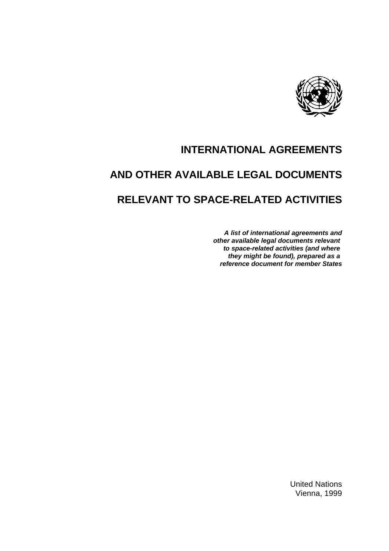

# **INTERNATIONAL AGREEMENTS**

# **AND OTHER AVAILABLE LEGAL DOCUMENTS**

# **RELEVANT TO SPACE-RELATED ACTIVITIES**

*A list of international agreements and other available legal documents relevant to space-related activities (and where they might be found), prepared as a reference document for member States*

> United Nations Vienna, 1999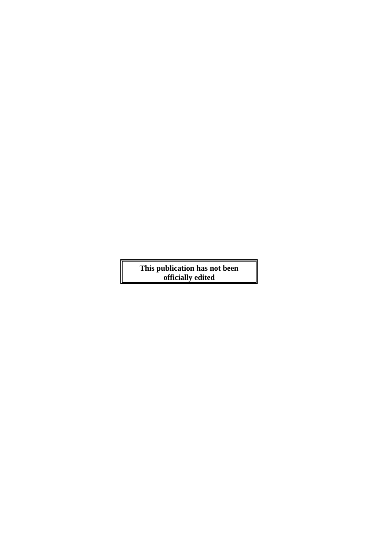**This publication has not been officially edited**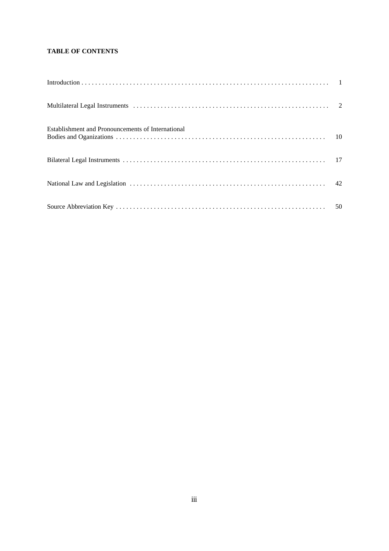# **TABLE OF CONTENTS**

| Establishment and Pronouncements of International |  |
|---------------------------------------------------|--|
|                                                   |  |
|                                                   |  |
|                                                   |  |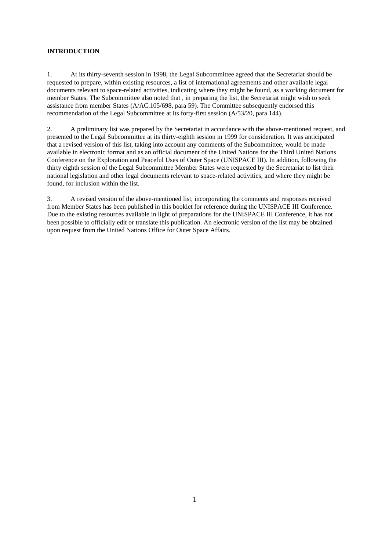# **INTRODUCTION**

1. At its thirty-seventh session in 1998, the Legal Subcommittee agreed that the Secretariat should be requested to prepare, within existing resources, a list of international agreements and other available legal documents relevant to space-related activities, indicating where they might be found, as a working document for member States. The Subcommittee also noted that , in preparing the list, the Secretariat might wish to seek assistance from member States (A/AC.105/698, para 59). The Committee subsequently endorsed this recommendation of the Legal Subcommittee at its forty-first session (A/53/20, para 144).

2. A preliminary list was prepared by the Secretariat in accordance with the above-mentioned request, and presented to the Legal Subcommittee at its thirty-eighth session in 1999 for consideration. It was anticipated that a revised version of this list, taking into account any comments of the Subcommittee, would be made available in electronic format and as an official document of the United Nations for the Third United Nations Conference on the Exploration and Peaceful Uses of Outer Space (UNISPACE III). In addition, following the thirty eighth session of the Legal Subcommittee Member States were requested by the Secretariat to list their national legislation and other legal documents relevant to space-related activities, and where they might be found, for inclusion within the list.

3. A revised version of the above-mentioned list, incorporating the comments and responses received from Member States has been published in this booklet for reference during the UNISPACE III Conference. Due to the existing resources available in light of preparations for the UNISPACE III Conference, it has not been possible to officially edit or translate this publication. An electronic version of the list may be obtained upon request from the United Nations Office for Outer Space Affairs.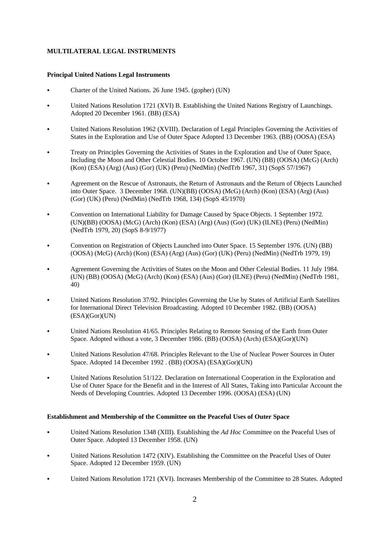# **MULTILATERAL LEGAL INSTRUMENTS**

#### **Principal United Nations Legal Instruments**

- Charter of the United Nations. 26 June 1945. (gopher) (UN)
- United Nations Resolution 1721 (XVI) B. Establishing the United Nations Registry of Launchings. Adopted 20 December 1961. (BB) (ESA)
- C United Nations Resolution 1962 (XVIII). Declaration of Legal Principles Governing the Activities of States in the Exploration and Use of Outer Space Adopted 13 December 1963. (BB) (OOSA) (ESA)
- C Treaty on Principles Governing the Activities of States in the Exploration and Use of Outer Space, Including the Moon and Other Celestial Bodies. 10 October 1967. (UN) (BB) (OOSA) (McG) (Arch) (Kon) (ESA) (Arg) (Aus) (Gor) (UK) (Peru) (NedMin) (NedTrb 1967, 31) (SopS 57/1967)
- Agreement on the Rescue of Astronauts, the Return of Astronauts and the Return of Objects Launched into Outer Space. 3 December 1968. (UN)(BB) (OOSA) (McG) (Arch) (Kon) (ESA) (Arg) (Aus) (Gor) (UK) (Peru) (NedMin) (NedTrb 1968, 134) (SopS 45/1970)
- Convention on International Liability for Damage Caused by Space Objects. 1 September 1972. (UN)(BB) (OOSA) (McG) (Arch) (Kon) (ESA) (Arg) (Aus) (Gor) (UK) (ILNE) (Peru) (NedMin) (NedTrb 1979, 20) (SopS 8-9/1977)
- C Convention on Registration of Objects Launched into Outer Space. 15 September 1976. (UN) (BB) (OOSA) (McG) (Arch) (Kon) (ESA) (Arg) (Aus) (Gor) (UK) (Peru) (NedMin) (NedTrb 1979, 19)
- C Agreement Governing the Activities of States on the Moon and Other Celestial Bodies. 11 July 1984. (UN) (BB) (OOSA) (McG) (Arch) (Kon) (ESA) (Aus) (Gor) (ILNE) (Peru) (NedMin) (NedTrb 1981, 40)
- United Nations Resolution 37/92. Principles Governing the Use by States of Artificial Earth Satellites for International Direct Television Broadcasting. Adopted 10 December 1982. (BB) (OOSA) (ESA)(Gor)(UN)
- C United Nations Resolution 41/65. Principles Relating to Remote Sensing of the Earth from Outer Space. Adopted without a vote, 3 December 1986. (BB) (OOSA) (Arch) (ESA)(Gor)(UN)
- C United Nations Resolution 47/68. Principles Relevant to the Use of Nuclear Power Sources in Outer Space. Adopted 14 December 1992 . (BB) (OOSA) (ESA)(Gor)(UN)
- C United Nations Resolution 51/122. Declaration on International Cooperation in the Exploration and Use of Outer Space for the Benefit and in the Interest of All States, Taking into Particular Account the Needs of Developing Countries. Adopted 13 December 1996. (OOSA) (ESA) (UN)

#### **Establishment and Membership of the Committee on the Peaceful Uses of Outer Space**

- C United Nations Resolution 1348 (XIII). Establishing the *Ad Hoc* Committee on the Peaceful Uses of Outer Space. Adopted 13 December 1958. (UN)
- C United Nations Resolution 1472 (XIV). Establishing the Committee on the Peaceful Uses of Outer Space. Adopted 12 December 1959. (UN)
- C United Nations Resolution 1721 (XVI). Increases Membership of the Committee to 28 States. Adopted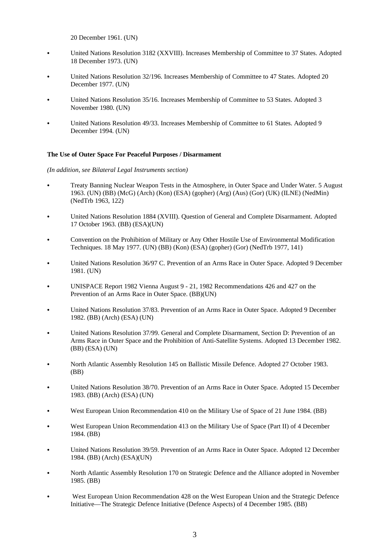20 December 1961. (UN)

- C United Nations Resolution 3182 (XXVIII). Increases Membership of Committee to 37 States. Adopted 18 December 1973. (UN)
- C United Nations Resolution 32/196. Increases Membership of Committee to 47 States. Adopted 20 December 1977. (UN)
- C United Nations Resolution 35/16. Increases Membership of Committee to 53 States. Adopted 3 November 1980. (UN)
- C United Nations Resolution 49/33. Increases Membership of Committee to 61 States. Adopted 9 December 1994. (UN)

#### **The Use of Outer Space For Peaceful Purposes / Disarmament**

- C Treaty Banning Nuclear Weapon Tests in the Atmosphere, in Outer Space and Under Water. 5 August 1963. (UN) (BB) (McG) (Arch) (Kon) (ESA) (gopher) (Arg) (Aus) (Gor) (UK) (ILNE) (NedMin) (NedTrb 1963, 122)
- C United Nations Resolution 1884 (XVIII). Question of General and Complete Disarmament. Adopted 17 October 1963. (BB) (ESA)(UN)
- C Convention on the Prohibition of Military or Any Other Hostile Use of Environmental Modification Techniques. 18 May 1977. (UN) (BB) (Kon) (ESA) (gopher) (Gor) (NedTrb 1977, 141)
- United Nations Resolution 36/97 C. Prevention of an Arms Race in Outer Space. Adopted 9 December 1981. (UN)
- C UNISPACE Report 1982 Vienna August 9 21, 1982 Recommendations 426 and 427 on the Prevention of an Arms Race in Outer Space. (BB)(UN)
- C United Nations Resolution 37/83. Prevention of an Arms Race in Outer Space. Adopted 9 December 1982. (BB) (Arch) (ESA) (UN)
- United Nations Resolution 37/99. General and Complete Disarmament, Section D: Prevention of an Arms Race in Outer Space and the Prohibition of Anti-Satellite Systems. Adopted 13 December 1982. (BB) (ESA) (UN)
- North Atlantic Assembly Resolution 145 on Ballistic Missile Defence. Adopted 27 October 1983. (BB)
- C United Nations Resolution 38/70. Prevention of an Arms Race in Outer Space. Adopted 15 December 1983. (BB) (Arch) (ESA) (UN)
- West European Union Recommendation 410 on the Military Use of Space of 21 June 1984. (BB)
- West European Union Recommendation 413 on the Military Use of Space (Part II) of 4 December 1984. (BB)
- C United Nations Resolution 39/59. Prevention of an Arms Race in Outer Space. Adopted 12 December 1984. (BB) (Arch) (ESA)(UN)
- North Atlantic Assembly Resolution 170 on Strategic Defence and the Alliance adopted in November 1985. (BB)
- West European Union Recommendation 428 on the West European Union and the Strategic Defence Initiative—The Strategic Defence Initiative (Defence Aspects) of 4 December 1985. (BB)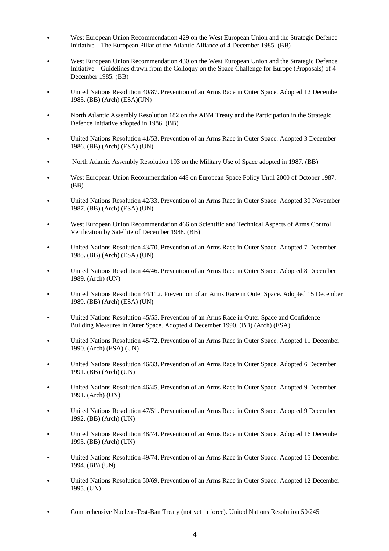- West European Union Recommendation 429 on the West European Union and the Strategic Defence Initiative—The European Pillar of the Atlantic Alliance of 4 December 1985. (BB)
- West European Union Recommendation 430 on the West European Union and the Strategic Defence Initiative—Guidelines drawn from the Colloquy on the Space Challenge for Europe (Proposals) of 4 December 1985. (BB)
- C United Nations Resolution 40/87. Prevention of an Arms Race in Outer Space. Adopted 12 December 1985. (BB) (Arch) (ESA)(UN)
- North Atlantic Assembly Resolution 182 on the ABM Treaty and the Participation in the Strategic Defence Initiative adopted in 1986. (BB)
- United Nations Resolution 41/53. Prevention of an Arms Race in Outer Space. Adopted 3 December 1986. (BB) (Arch) (ESA) (UN)
- C North Atlantic Assembly Resolution 193 on the Military Use of Space adopted in 1987. (BB)
- West European Union Recommendation 448 on European Space Policy Until 2000 of October 1987. (BB)
- C United Nations Resolution 42/33. Prevention of an Arms Race in Outer Space. Adopted 30 November 1987. (BB) (Arch) (ESA) (UN)
- West European Union Recommendation 466 on Scientific and Technical Aspects of Arms Control Verification by Satellite of December 1988. (BB)
- C United Nations Resolution 43/70. Prevention of an Arms Race in Outer Space. Adopted 7 December 1988. (BB) (Arch) (ESA) (UN)
- C United Nations Resolution 44/46. Prevention of an Arms Race in Outer Space. Adopted 8 December 1989. (Arch) (UN)
- C United Nations Resolution 44/112. Prevention of an Arms Race in Outer Space. Adopted 15 December 1989. (BB) (Arch) (ESA) (UN)
- United Nations Resolution 45/55. Prevention of an Arms Race in Outer Space and Confidence Building Measures in Outer Space. Adopted 4 December 1990. (BB) (Arch) (ESA)
- C United Nations Resolution 45/72. Prevention of an Arms Race in Outer Space. Adopted 11 December 1990. (Arch) (ESA) (UN)
- United Nations Resolution 46/33. Prevention of an Arms Race in Outer Space. Adopted 6 December 1991. (BB) (Arch) (UN)
- C United Nations Resolution 46/45. Prevention of an Arms Race in Outer Space. Adopted 9 December 1991. (Arch) (UN)
- United Nations Resolution 47/51. Prevention of an Arms Race in Outer Space. Adopted 9 December 1992. (BB) (Arch) (UN)
- C United Nations Resolution 48/74. Prevention of an Arms Race in Outer Space. Adopted 16 December 1993. (BB) (Arch) (UN)
- C United Nations Resolution 49/74. Prevention of an Arms Race in Outer Space. Adopted 15 December 1994. (BB) (UN)
- C United Nations Resolution 50/69. Prevention of an Arms Race in Outer Space. Adopted 12 December 1995. (UN)
- C Comprehensive Nuclear-Test-Ban Treaty (not yet in force). United Nations Resolution 50/245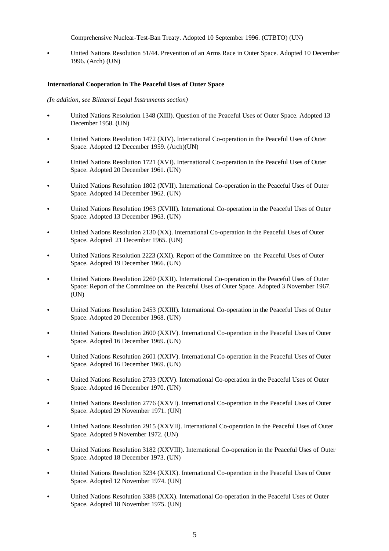Comprehensive Nuclear-Test-Ban Treaty. Adopted 10 September 1996. (CTBTO) (UN)

C United Nations Resolution 51/44. Prevention of an Arms Race in Outer Space. Adopted 10 December 1996. (Arch) (UN)

#### **International Cooperation in The Peaceful Uses of Outer Space**

- C United Nations Resolution 1348 (XIII). Question of the Peaceful Uses of Outer Space. Adopted 13 December 1958. (UN)
- United Nations Resolution 1472 (XIV). International Co-operation in the Peaceful Uses of Outer Space. Adopted 12 December 1959. (Arch)(UN)
- C United Nations Resolution 1721 (XVI). International Co-operation in the Peaceful Uses of Outer Space. Adopted 20 December 1961. (UN)
- C United Nations Resolution 1802 (XVII). International Co-operation in the Peaceful Uses of Outer Space. Adopted 14 December 1962. (UN)
- United Nations Resolution 1963 (XVIII). International Co-operation in the Peaceful Uses of Outer Space. Adopted 13 December 1963. (UN)
- United Nations Resolution 2130 (XX). International Co-operation in the Peaceful Uses of Outer Space. Adopted 21 December 1965. (UN)
- C United Nations Resolution 2223 (XXI). Report of the Committee on the Peaceful Uses of Outer Space. Adopted 19 December 1966. (UN)
- United Nations Resolution 2260 (XXII). International Co-operation in the Peaceful Uses of Outer Space: Report of the Committee on the Peaceful Uses of Outer Space. Adopted 3 November 1967. (UN)
- C United Nations Resolution 2453 (XXIII). International Co-operation in the Peaceful Uses of Outer Space. Adopted 20 December 1968. (UN)
- C United Nations Resolution 2600 (XXIV). International Co-operation in the Peaceful Uses of Outer Space. Adopted 16 December 1969. (UN)
- C United Nations Resolution 2601 (XXIV). International Co-operation in the Peaceful Uses of Outer Space. Adopted 16 December 1969. (UN)
- C United Nations Resolution 2733 (XXV). International Co-operation in the Peaceful Uses of Outer Space. Adopted 16 December 1970. (UN)
- C United Nations Resolution 2776 (XXVI). International Co-operation in the Peaceful Uses of Outer Space. Adopted 29 November 1971. (UN)
- C United Nations Resolution 2915 (XXVII). International Co-operation in the Peaceful Uses of Outer Space. Adopted 9 November 1972. (UN)
- C United Nations Resolution 3182 (XXVIII). International Co-operation in the Peaceful Uses of Outer Space. Adopted 18 December 1973. (UN)
- C United Nations Resolution 3234 (XXIX). International Co-operation in the Peaceful Uses of Outer Space. Adopted 12 November 1974. (UN)
- C United Nations Resolution 3388 (XXX). International Co-operation in the Peaceful Uses of Outer Space. Adopted 18 November 1975. (UN)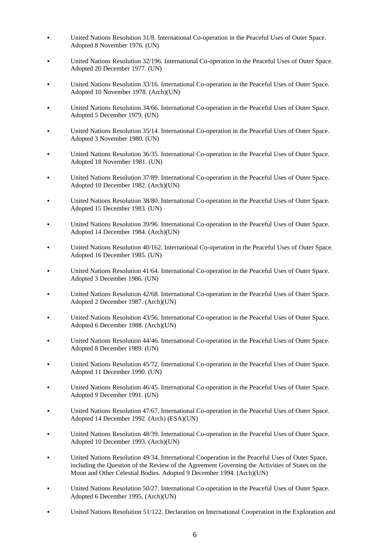- C United Nations Resolution 31/8. International Co-operation in the Peaceful Uses of Outer Space. Adopted 8 November 1976. (UN)
- United Nations Resolution 32/196. International Co-operation in the Peaceful Uses of Outer Space. Adopted 20 December 1977. (UN)
- United Nations Resolution 33/16. International Co-operation in the Peaceful Uses of Outer Space. Adopted 10 November 1978. (Arch)(UN)
- United Nations Resolution 34/66. International Co-operation in the Peaceful Uses of Outer Space. Adopted 5 December 1979. (UN)
- United Nations Resolution 35/14. International Co-operation in the Peaceful Uses of Outer Space. Adopted 3 November 1980. (UN)
- C United Nations Resolution 36/35. International Co-operation in the Peaceful Uses of Outer Space. Adopted 18 November 1981. (UN)
- C United Nations Resolution 37/89. International Co-operation in the Peaceful Uses of Outer Space. Adopted 10 December 1982. (Arch)(UN)
- C United Nations Resolution 38/80. International Co-operation in the Peaceful Uses of Outer Space. Adopted 15 December 1983. (UN)
- C United Nations Resolution 39/96. International Co-operation in the Peaceful Uses of Outer Space. Adopted 14 December 1984. (Arch)(UN)
- United Nations Resolution 40/162. International Co-operation in the Peaceful Uses of Outer Space. Adopted 16 December 1985. (UN)
- C United Nations Resolution 41/64. International Co-operation in the Peaceful Uses of Outer Space. Adopted 3 December 1986. (UN)
- United Nations Resolution 42/68. International Co-operation in the Peaceful Uses of Outer Space. Adopted 2 December 1987. (Arch)(UN)
- United Nations Resolution 43/56. International Co-operation in the Peaceful Uses of Outer Space. Adopted 6 December 1988. (Arch)(UN)
- United Nations Resolution 44/46. International Co-operation in the Peaceful Uses of Outer Space. Adopted 8 December 1989. (UN)
- United Nations Resolution 45/72. International Co-operation in the Peaceful Uses of Outer Space. Adopted 11 December 1990. (UN)
- United Nations Resolution 46/45. International Co-operation in the Peaceful Uses of Outer Space. Adopted 9 December 1991. (UN)
- United Nations Resolution 47/67. International Co-operation in the Peaceful Uses of Outer Space. Adopted 14 December 1992. (Arch) (ESA)(UN)
- C United Nations Resolution 48/39. International Co-operation in the Peaceful Uses of Outer Space. Adopted 10 December 1993. (Arch)(UN)
- United Nations Resolution 49/34. International Cooperation in the Peaceful Uses of Outer Space, including the Question of the Review of the Agreement Governing the Activities of States on the Moon and Other Celestial Bodies. Adopted 9 December 1994. (Arch)(UN)
- United Nations Resolution 50/27. International Co-operation in the Peaceful Uses of Outer Space. Adopted 6 December 1995. (Arch)(UN)
- United Nations Resolution 51/122. Declaration on International Cooperation in the Exploration and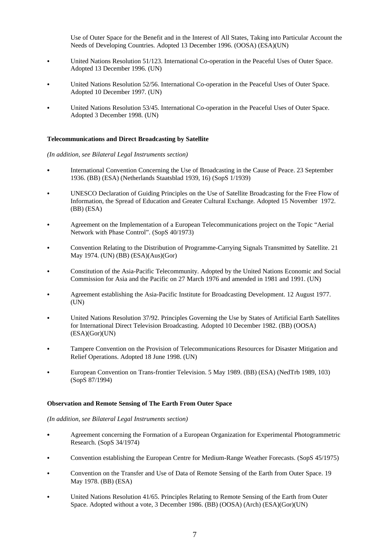Use of Outer Space for the Benefit and in the Interest of All States, Taking into Particular Account the Needs of Developing Countries. Adopted 13 December 1996. (OOSA) (ESA)(UN)

- United Nations Resolution 51/123. International Co-operation in the Peaceful Uses of Outer Space. Adopted 13 December 1996. (UN)
- United Nations Resolution 52/56. International Co-operation in the Peaceful Uses of Outer Space. Adopted 10 December 1997. (UN)
- United Nations Resolution 53/45. International Co-operation in the Peaceful Uses of Outer Space. Adopted 3 December 1998. (UN)

## **Telecommunications and Direct Broadcasting by Satellite**

#### *(In addition, see Bilateral Legal Instruments section)*

- International Convention Concerning the Use of Broadcasting in the Cause of Peace. 23 September 1936. (BB) (ESA) (Netherlands Staatsblad 1939, 16) (SopS 1/1939)
- C UNESCO Declaration of Guiding Principles on the Use of Satellite Broadcasting for the Free Flow of Information, the Spread of Education and Greater Cultural Exchange. Adopted 15 November 1972. (BB) (ESA)
- Agreement on the Implementation of a European Telecommunications project on the Topic "Aerial" Network with Phase Control". (SopS 40/1973)
- C Convention Relating to the Distribution of Programme-Carrying Signals Transmitted by Satellite. 21 May 1974. (UN) (BB) (ESA)(Aus)(Gor)
- C Constitution of the Asia-Pacific Telecommunity. Adopted by the United Nations Economic and Social Commission for Asia and the Pacific on 27 March 1976 and amended in 1981 and 1991. (UN)
- C Agreement establishing the Asia-Pacific Institute for Broadcasting Development. 12 August 1977. (UN)
- C United Nations Resolution 37/92. Principles Governing the Use by States of Artificial Earth Satellites for International Direct Television Broadcasting. Adopted 10 December 1982. (BB) (OOSA) (ESA)(Gor)(UN)
- C Tampere Convention on the Provision of Telecommunications Resources for Disaster Mitigation and Relief Operations. Adopted 18 June 1998. (UN)
- European Convention on Trans-frontier Television. 5 May 1989. (BB) (ESA) (NedTrb 1989, 103) (SopS 87/1994)

#### **Observation and Remote Sensing of The Earth From Outer Space**

- C Agreement concerning the Formation of a European Organization for Experimental Photogrammetric Research. (SopS 34/1974)
- Convention establishing the European Centre for Medium-Range Weather Forecasts. (SopS 45/1975)
- Convention on the Transfer and Use of Data of Remote Sensing of the Earth from Outer Space. 19 May 1978. (BB) (ESA)
- C United Nations Resolution 41/65. Principles Relating to Remote Sensing of the Earth from Outer Space. Adopted without a vote, 3 December 1986. (BB) (OOSA) (Arch) (ESA)(Gor)(UN)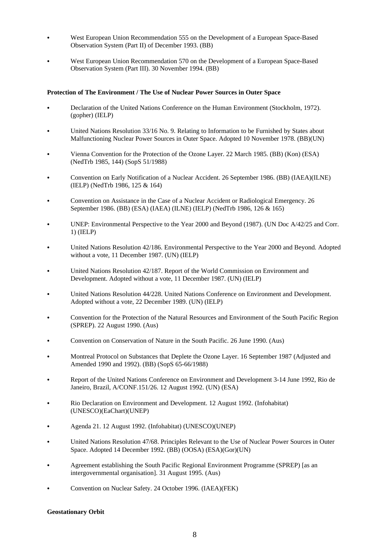- West European Union Recommendation 555 on the Development of a European Space-Based Observation System (Part II) of December 1993. (BB)
- West European Union Recommendation 570 on the Development of a European Space-Based Observation System (Part III). 30 November 1994. (BB)

#### **Protection of The Environment / The Use of Nuclear Power Sources in Outer Space**

- Declaration of the United Nations Conference on the Human Environment (Stockholm, 1972). (gopher) (IELP)
- C United Nations Resolution 33/16 No. 9. Relating to Information to be Furnished by States about Malfunctioning Nuclear Power Sources in Outer Space. Adopted 10 November 1978. (BB)(UN)
- Vienna Convention for the Protection of the Ozone Layer. 22 March 1985. (BB) (Kon) (ESA) (NedTrb 1985, 144) (SopS 51/1988)
- C Convention on Early Notification of a Nuclear Accident. 26 September 1986. (BB) (IAEA)(ILNE) (IELP) (NedTrb 1986, 125 & 164)
- Convention on Assistance in the Case of a Nuclear Accident or Radiological Emergency. 26 September 1986. (BB) (ESA) (IAEA) (ILNE) (IELP) (NedTrb 1986, 126 & 165)
- UNEP: Environmental Perspective to the Year 2000 and Beyond (1987). (UN Doc A/42/25 and Corr. 1) (IELP)
- C United Nations Resolution 42/186. Environmental Perspective to the Year 2000 and Beyond. Adopted without a vote, 11 December 1987. (UN) (IELP)
- United Nations Resolution 42/187. Report of the World Commission on Environment and Development. Adopted without a vote, 11 December 1987. (UN) (IELP)
- United Nations Resolution 44/228. United Nations Conference on Environment and Development. Adopted without a vote, 22 December 1989. (UN) (IELP)
- C Convention for the Protection of the Natural Resources and Environment of the South Pacific Region (SPREP). 22 August 1990. (Aus)
- Convention on Conservation of Nature in the South Pacific. 26 June 1990. (Aus)
- C Montreal Protocol on Substances that Deplete the Ozone Layer. 16 September 1987 (Adjusted and Amended 1990 and 1992). (BB) (SopS 65-66/1988)
- Report of the United Nations Conference on Environment and Development 3-14 June 1992, Rio de Janeiro, Brazil, A/CONF.151/26. 12 August 1992. (UN) (ESA)
- Rio Declaration on Environment and Development. 12 August 1992. (Infohabitat) (UNESCO)(EaChart)(UNEP)
- C Agenda 21. 12 August 1992. (Infohabitat) (UNESCO)(UNEP)
- C United Nations Resolution 47/68. Principles Relevant to the Use of Nuclear Power Sources in Outer Space. Adopted 14 December 1992. (BB) (OOSA) (ESA)(Gor)(UN)
- Agreement establishing the South Pacific Regional Environment Programme (SPREP) [as an intergovernmental organisation]. 31 August 1995. (Aus)
- Convention on Nuclear Safety. 24 October 1996. (IAEA)(FEK)

#### **Geostationary Orbit**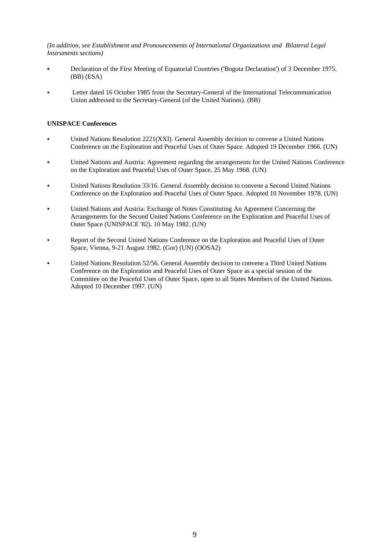*(In addition, see Establishment and Pronouncements of International Organizations and Bilateral Legal Instruments sections)*

- Declaration of the First Meeting of Equatorial Countries ('Bogota Declaration') of 3 December 1975. (BB) (ESA)
- Letter dated 16 October 1985 from the Secretary-General of the International Telecommunication Union addressed to the Secretary-General (of the United Nations). (BB)

## **UNISPACE Conferences**

- United Nations Resolution 2221(XXI). General Assembly decision to convene a United Nations Conference on the Exploration and Peaceful Uses of Outer Space. Adopted 19 December 1966. (UN)
- United Nations and Austria: Agreement regarding the arrangements for the United Nations Conference on the Exploration and Peaceful Uses of Outer Space. 25 May 1968. (UN)
- United Nations Resolution 33/16. General Assembly decision to convene a Second United Nations Conference on the Exploration and Peaceful Uses of Outer Space. Adopted 10 November 1978. (UN)
- United Nations and Austria: Exchange of Notes Constituting An Agreement Concerning the Arrangements for the Second United Nations Conference on the Exploration and Peaceful Uses of Outer Space (UNISPACE '82). 10 May 1982. (UN)
- Report of the Second United Nations Conference on the Exploration and Peaceful Uses of Outer Space, Vienna, 9-21 August 1982. (Gor) (UN) (OOSA2)
- United Nations Resolution 52/56. General Assembly decision to convene a Third United Nations Conference on the Exploration and Peaceful Uses of Outer Space as a special session of the Committee on the Peaceful Uses of Outer Space, open to all States Members of the United Nations. Adopted 10 December 1997. (UN)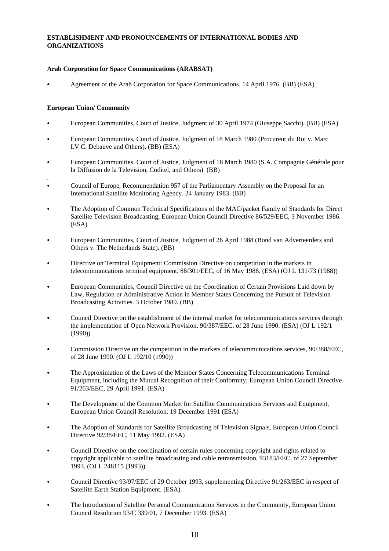# **ESTABLISHMENT AND PRONOUNCEMENTS OF INTERNATIONAL BODIES AND ORGANIZATIONS**

## **Arab Corporation for Space Communications (ARABSAT)**

Agreement of the Arab Corporation for Space Communications. 14 April 1976. (BB) (ESA)

## **European Union/ Community**

- European Communities, Court of Justice, Judgment of 30 April 1974 (Giuseppe Sacchi). (BB) (ESA)
- European Communities, Court of Justice, Judgment of 18 March 1980 (Procureur du Roi v. Marc I.V.C. Debauve and Others). (BB) (ESA)
- European Communities, Court of Justice, Judgment of 18 March 1980 (S.A. Compagnie Générale pour la Diffusion de la Television, Coditel, and Others). (BB)
- . C Council of Europe, Recommendation 957 of the Parliamentary Assembly on the Proposal for an International Satellite Monitoring Agency. 24 January 1983. (BB)
- The Adoption of Common Technical Specifications of the MAC/packet Family of Standards for Direct Satellite Television Broadcasting, European Union Council Directive 86/529/EEC, 3 November 1986. (ESA)
- C European Communities, Court of Justice, Judgment of 26 April 1988 (Bond van Adverteerders and Others v. The Netherlands State). (BB)
- Directive on Terminal Equipment: Commission Directive on competition in the markets in telecommunications terminal equipment, 88/301/EEC, of 16 May 1988. (ESA) (OJ L 131/73 (1988))
- European Communities, Council Directive on the Coordination of Certain Provisions Laid down by Law, Regulation or Administrative Action in Member States Concerning the Pursuit of Television Broadcasting Activities. 3 October 1989. (BB)
- C Council Directive on the establishment of the internal market for telecommunications services through the implementation of Open Network Provision, 90/387/EEC, of 28 June 1990. (ESA) (OJ L 192/1 (1990))
- Commission Directive on the competition in the markets of telecommunications services, 90/388/EEC, of 28 June 1990. (OJ L 192/10 (1990))
- C The Approximation of the Laws of the Member States Concerning Telecommunications Terminal Equipment, including the Mutual Recognition of their Conformity, European Union Council Directive 91/263/EEC, 29 April 1991. (ESA)
- The Development of the Common Market for Satellite Communications Services and Equipment, European Union Council Resolution. 19 December 1991 (ESA)
- C The Adoption of Standards for Satellite Broadcasting of Television Signals, European Union Council Directive 92/38/EEC, 11 May 1992. (ESA)
- C Council Directive on the coordination of certain rules concerning copyright and rights related to copyright applicable to satellite broadcasting and cable retransmission, 93183/EEC, of 27 September 1993. (OJ L 248115 (1993))
- C Council Directive 93/97/EEC of 29 October 1993, supplementing Directive 91/263/EEC in respect of Satellite Earth Station Equipment. (ESA)
- C The Introduction of Satellite Personal Communication Services in the Community, European Union Council Resolution 93/C 339/01, 7 December 1993. (ESA)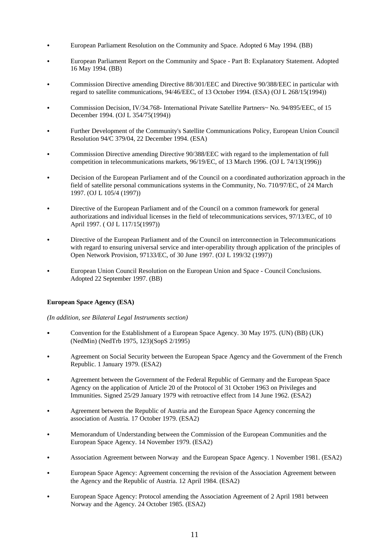- European Parliament Resolution on the Community and Space. Adopted 6 May 1994. (BB)
- European Parliament Report on the Community and Space Part B: Explanatory Statement. Adopted 16 May 1994. (BB)
- Commission Directive amending Directive 88/301/EEC and Directive 90/388/EEC in particular with regard to satellite communications, 94/46/EEC, of 13 October 1994. (ESA) (OJ L 268/15(1994))
- Commission Decision, IV/34.768- International Private Satellite Partners~ No. 94/895/EEC, of 15 December 1994. (OJ L 354/75(1994))
- Further Development of the Community's Satellite Communications Policy, European Union Council Resolution 94/C 379/04, 22 December 1994. (ESA)
- Commission Directive amending Directive 90/388/EEC with regard to the implementation of full competition in telecommunications markets, 96/19/EC, of 13 March 1996. (OJ L 74/13(1996))
- Decision of the European Parliament and of the Council on a coordinated authorization approach in the field of satellite personal communications systems in the Community, No. 710/97/EC, of 24 March 1997. (OJ L 105/4 (1997))
- Directive of the European Parliament and of the Council on a common framework for general authorizations and individual licenses in the field of telecommunications services, 97/13/EC, of 10 April 1997. ( OJ L 117/15(1997))
- Directive of the European Parliament and of the Council on interconnection in Telecommunications with regard to ensuring universal service and inter-operability through application of the principles of Open Network Provision, 97133/EC, of 30 June 1997. (OJ L 199/32 (1997))
- European Union Council Resolution on the European Union and Space Council Conclusions. Adopted 22 September 1997. (BB)

# **European Space Agency (ESA)**

- C Convention for the Establishment of a European Space Agency. 30 May 1975. (UN) (BB) (UK) (NedMin) (NedTrb 1975, 123)(SopS 2/1995)
- Agreement on Social Security between the European Space Agency and the Government of the French Republic. 1 January 1979. (ESA2)
- Agreement between the Government of the Federal Republic of Germany and the European Space Agency on the application of Article 20 of the Protocol of 31 October 1963 on Privileges and Immunities. Signed 25/29 January 1979 with retroactive effect from 14 June 1962. (ESA2)
- Agreement between the Republic of Austria and the European Space Agency concerning the association of Austria. 17 October 1979. (ESA2)
- C Memorandum of Understanding between the Commission of the European Communities and the European Space Agency. 14 November 1979. (ESA2)
- Association Agreement between Norway and the European Space Agency. 1 November 1981. (ESA2)
- European Space Agency: Agreement concerning the revision of the Association Agreement between the Agency and the Republic of Austria. 12 April 1984. (ESA2)
- European Space Agency: Protocol amending the Association Agreement of 2 April 1981 between Norway and the Agency. 24 October 1985. (ESA2)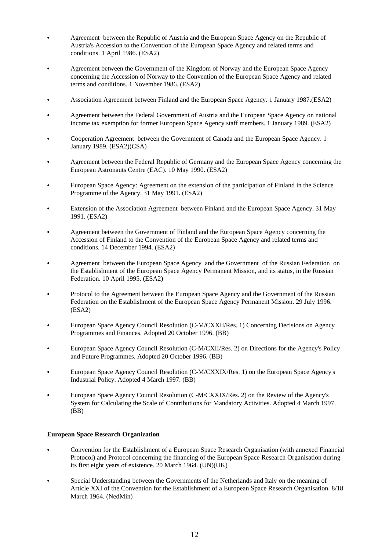- Agreement between the Republic of Austria and the European Space Agency on the Republic of Austria's Accession to the Convention of the European Space Agency and related terms and conditions. 1 April 1986. (ESA2)
- Agreement between the Government of the Kingdom of Norway and the European Space Agency concerning the Accession of Norway to the Convention of the European Space Agency and related terms and conditions. 1 November 1986. (ESA2)
- C Association Agreement between Finland and the European Space Agency. 1 January 1987.(ESA2)
- Agreement between the Federal Government of Austria and the European Space Agency on national income tax exemption for former European Space Agency staff members. 1 January 1989. (ESA2)
- C Cooperation Agreement between the Government of Canada and the European Space Agency. 1 January 1989. (ESA2)(CSA)
- Agreement between the Federal Republic of Germany and the European Space Agency concerning the European Astronauts Centre (EAC). 10 May 1990. (ESA2)
- C European Space Agency: Agreement on the extension of the participation of Finland in the Science Programme of the Agency. 31 May 1991. (ESA2)
- Extension of the Association Agreement between Finland and the European Space Agency. 31 May 1991. (ESA2)
- Agreement between the Government of Finland and the European Space Agency concerning the Accession of Finland to the Convention of the European Space Agency and related terms and conditions. 14 December 1994. (ESA2)
- Agreement between the European Space Agency and the Government of the Russian Federation on the Establishment of the European Space Agency Permanent Mission, and its status, in the Russian Federation. 10 April 1995. (ESA2)
- Protocol to the Agreement between the European Space Agency and the Government of the Russian Federation on the Establishment of the European Space Agency Permanent Mission. 29 July 1996. (ESA2)
- European Space Agency Council Resolution (C-M/CXXII/Res. 1) Concerning Decisions on Agency Programmes and Finances. Adopted 20 October 1996. (BB)
- C European Space Agency Council Resolution (C-M/CXII/Res. 2) on Directions for the Agency's Policy and Future Programmes. Adopted 20 October 1996. (BB)
- European Space Agency Council Resolution (C-M/CXXIX/Res. 1) on the European Space Agency's Industrial Policy. Adopted 4 March 1997. (BB)
- European Space Agency Council Resolution (C-M/CXXIX/Res. 2) on the Review of the Agency's System for Calculating the Scale of Contributions for Mandatory Activities. Adopted 4 March 1997. (BB)

## **European Space Research Organization**

- C Convention for the Establishment of a European Space Research Organisation (with annexed Financial Protocol) and Protocol concerning the financing of the European Space Research Organisation during its first eight years of existence. 20 March 1964. (UN)(UK)
- C Special Understanding between the Governments of the Netherlands and Italy on the meaning of Article XXI of the Convention for the Establishment of a European Space Research Organisation. 8/18 March 1964. (NedMin)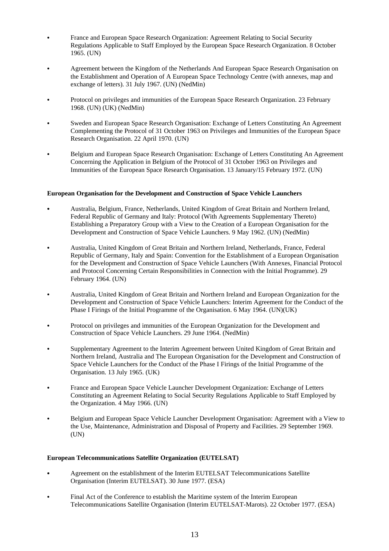- France and European Space Research Organization: Agreement Relating to Social Security Regulations Applicable to Staff Employed by the European Space Research Organization. 8 October 1965. (UN)
- Agreement between the Kingdom of the Netherlands And European Space Research Organisation on the Establishment and Operation of A European Space Technology Centre (with annexes, map and exchange of letters). 31 July 1967. (UN) (NedMin)
- Protocol on privileges and immunities of the European Space Research Organization. 23 February 1968. (UN) (UK) (NedMin)
- Sweden and European Space Research Organisation: Exchange of Letters Constituting An Agreement Complementing the Protocol of 31 October 1963 on Privileges and Immunities of the European Space Research Organisation. 22 April 1970. (UN)
- C Belgium and European Space Research Organisation: Exchange of Letters Constituting An Agreement Concerning the Application in Belgium of the Protocol of 31 October 1963 on Privileges and Immunities of the European Space Research Organisation. 13 January/15 February 1972. (UN)

## **European Organisation for the Development and Construction of Space Vehicle Launchers**

- C Australia, Belgium, France, Netherlands, United Kingdom of Great Britain and Northern Ireland, Federal Republic of Germany and Italy: Protocol (With Agreements Supplementary Thereto) Establishing a Preparatory Group with a View to the Creation of a European Organisation for the Development and Construction of Space Vehicle Launchers. 9 May 1962. (UN) (NedMin)
- C Australia, United Kingdom of Great Britain and Northern Ireland, Netherlands, France, Federal Republic of Germany, Italy and Spain: Convention for the Establishment of a European Organisation for the Development and Construction of Space Vehicle Launchers (With Annexes, Financial Protocol and Protocol Concerning Certain Responsibilities in Connection with the Initial Programme). 29 February 1964. (UN)
- Australia, United Kingdom of Great Britain and Northern Ireland and European Organization for the Development and Construction of Space Vehicle Launchers: Interim Agreement for the Conduct of the Phase I Firings of the Initial Programme of the Organisation. 6 May 1964. (UN)(UK)
- Protocol on privileges and immunities of the European Organization for the Development and Construction of Space Vehicle Launchers. 29 June 1964. (NedMin)
- C Supplementary Agreement to the Interim Agreement between United Kingdom of Great Britain and Northern Ireland, Australia and The European Organisation for the Development and Construction of Space Vehicle Launchers for the Conduct of the Phase I Firings of the Initial Programme of the Organisation. 13 July 1965. (UK)
- France and European Space Vehicle Launcher Development Organization: Exchange of Letters Constituting an Agreement Relating to Social Security Regulations Applicable to Staff Employed by the Organization. 4 May 1966. (UN)
- C Belgium and European Space Vehicle Launcher Development Organisation: Agreement with a View to the Use, Maintenance, Administration and Disposal of Property and Facilities. 29 September 1969. (UN)

## **European Telecommunications Satellite Organization (EUTELSAT)**

- Agreement on the establishment of the Interim EUTELSAT Telecommunications Satellite Organisation (Interim EUTELSAT). 30 June 1977. (ESA)
- Final Act of the Conference to establish the Maritime system of the Interim European Telecommunications Satellite Organisation (Interim EUTELSAT-Marots). 22 October 1977. (ESA)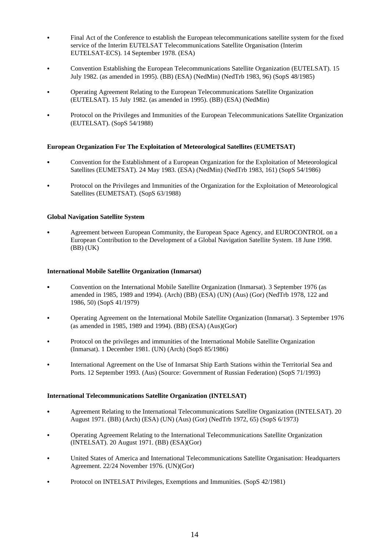- Final Act of the Conference to establish the European telecommunications satellite system for the fixed service of the Interim EUTELSAT Telecommunications Satellite Organisation (Interim EUTELSAT-ECS). 14 September 1978. (ESA)
- C Convention Establishing the European Telecommunications Satellite Organization (EUTELSAT). 15 July 1982. (as amended in 1995). (BB) (ESA) (NedMin) (NedTrb 1983, 96) (SopS 48/1985)
- C Operating Agreement Relating to the European Telecommunications Satellite Organization (EUTELSAT). 15 July 1982. (as amended in 1995). (BB) (ESA) (NedMin)
- C Protocol on the Privileges and Immunities of the European Telecommunications Satellite Organization (EUTELSAT). (SopS 54/1988)

## **European Organization For The Exploitation of Meteorological Satellites (EUMETSAT)**

- C Convention for the Establishment of a European Organization for the Exploitation of Meteorological Satellites (EUMETSAT). 24 May 1983. (ESA) (NedMin) (NedTrb 1983, 161) (SopS 54/1986)
- Protocol on the Privileges and Immunities of the Organization for the Exploitation of Meteorological Satellites (EUMETSAT). (SopS 63/1988)

## **Global Navigation Satellite System**

Agreement between European Community, the European Space Agency, and EUROCONTROL on a European Contribution to the Development of a Global Navigation Satellite System. 18 June 1998. (BB) (UK)

#### **International Mobile Satellite Organization (Inmarsat)**

- C Convention on the International Mobile Satellite Organization (Inmarsat). 3 September 1976 (as amended in 1985, 1989 and 1994). (Arch) (BB) (ESA) (UN) (Aus) (Gor) (NedTrb 1978, 122 and 1986, 50) (SopS 41/1979)
- C Operating Agreement on the International Mobile Satellite Organization (Inmarsat). 3 September 1976 (as amended in 1985, 1989 and 1994). (BB) (ESA) (Aus)(Gor)
- Protocol on the privileges and immunities of the International Mobile Satellite Organization (Inmarsat). 1 December 1981. (UN) (Arch) (SopS 85/1986)
- International Agreement on the Use of Inmarsat Ship Earth Stations within the Territorial Sea and Ports. 12 September 1993. (Aus) (Source: Government of Russian Federation) (SopS 71/1993)

## **International Telecommunications Satellite Organization (INTELSAT)**

- C Agreement Relating to the International Telecommunications Satellite Organization (INTELSAT). 20 August 1971. (BB) (Arch) (ESA) (UN) (Aus) (Gor) (NedTrb 1972, 65) (SopS 6/1973)
- C Operating Agreement Relating to the International Telecommunications Satellite Organization (INTELSAT). 20 August 1971. (BB) (ESA)(Gor)
- C United States of America and International Telecommunications Satellite Organisation: Headquarters Agreement. 22/24 November 1976. (UN)(Gor)
- Protocol on INTELSAT Privileges, Exemptions and Immunities. (SopS 42/1981)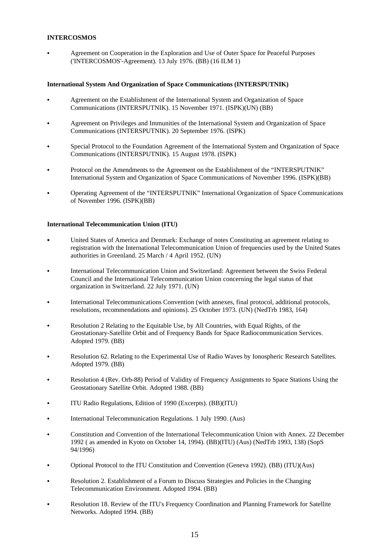# **INTERCOSMOS**

Agreement on Cooperation in the Exploration and Use of Outer Space for Peaceful Purposes ('INTERCOSMOS'-Agreement). 13 July 1976. (BB) (16 ILM 1)

## **International System And Organization of Space Communications (INTERSPUTNIK)**

- Agreement on the Establishment of the International System and Organization of Space Communications (INTERSPUTNIK). 15 November 1971. (ISPK)(UN) (BB)
- Agreement on Privileges and Immunities of the International System and Organization of Space Communications (INTERSPUTNIK). 20 September 1976. (ISPK)
- Special Protocol to the Foundation Agreement of the International System and Organization of Space Communications (INTERSPUTNIK). 15 August 1978. (ISPK)
- Protocol on the Amendments to the Agreement on the Establishment of the "INTERSPUTNIK" International System and Organization of Space Communications of November 1996. (ISPK)(BB)
- C Operating Agreement of the "INTERSPUTNIK" International Organization of Space Communications of November 1996. (ISPK)(BB)

# **International Telecommunication Union (ITU)**

- C United States of America and Denmark: Exchange of notes Constituting an agreement relating to registration with the International Telecommunication Union of frequencies used by the United States authorities in Greenland. 25 March / 4 April 1952. (UN)
- International Telecommunication Union and Switzerland: Agreement between the Swiss Federal Council and the International Telecommunication Union concerning the legal status of that organization in Switzerland. 22 July 1971. (UN)
- International Telecommunications Convention (with annexes, final protocol, additional protocols, resolutions, recommendations and opinions). 25 October 1973. (UN) (NedTrb 1983, 164)
- Resolution 2 Relating to the Equitable Use, by All Countries, with Equal Rights, of the Geostationary-Satellite Orbit and of Frequency Bands for Space Radiocommunication Services. Adopted 1979. (BB)
- Resolution 62. Relating to the Experimental Use of Radio Waves by Ionospheric Research Satellites. Adopted 1979. (BB)
- Resolution 4 (Rev. Orb-88) Period of Validity of Frequency Assignments to Space Stations Using the Geostationary Satellite Orbit. Adopted 1988. (BB)
- C ITU Radio Regulations, Edition of 1990 (Excerpts). (BB)(ITU)
- International Telecommunication Regulations. 1 July 1990. (Aus)
- C Constitution and Convention of the International Telecommunication Union with Annex. 22 December 1992 ( as amended in Kyoto on October 14, 1994). (BB)(ITU) (Aus) (NedTrb 1993, 138) (SopS 94/1996)
- C Optional Protocol to the ITU Constitution and Convention (Geneva 1992). (BB) (ITU)(Aus)
- Resolution 2. Establishment of a Forum to Discuss Strategies and Policies in the Changing Telecommunication Environment. Adopted 1994. (BB)
- Resolution 18. Review of the ITU's Frequency Coordination and Planning Framework for Satellite Networks. Adopted 1994. (BB)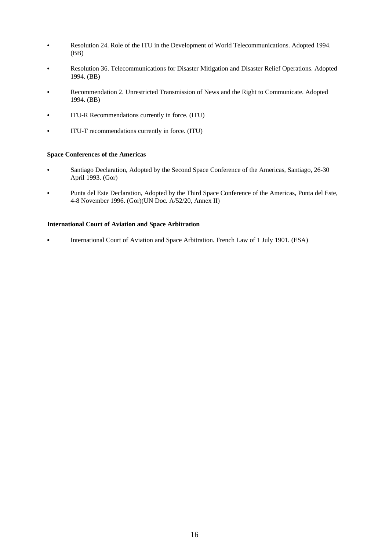- Resolution 24. Role of the ITU in the Development of World Telecommunications. Adopted 1994. (BB)
- Resolution 36. Telecommunications for Disaster Mitigation and Disaster Relief Operations. Adopted 1994. (BB)
- Recommendation 2. Unrestricted Transmission of News and the Right to Communicate. Adopted 1994. (BB)
- ITU-R Recommendations currently in force. (ITU)
- ITU-T recommendations currently in force. (ITU)

#### **Space Conferences of the Americas**

- Santiago Declaration, Adopted by the Second Space Conference of the Americas, Santiago, 26-30 April 1993. (Gor)
- Punta del Este Declaration, Adopted by the Third Space Conference of the Americas, Punta del Este, 4-8 November 1996. (Gor)(UN Doc. A/52/20, Annex II)

#### **International Court of Aviation and Space Arbitration**

• International Court of Aviation and Space Arbitration. French Law of 1 July 1901. (ESA)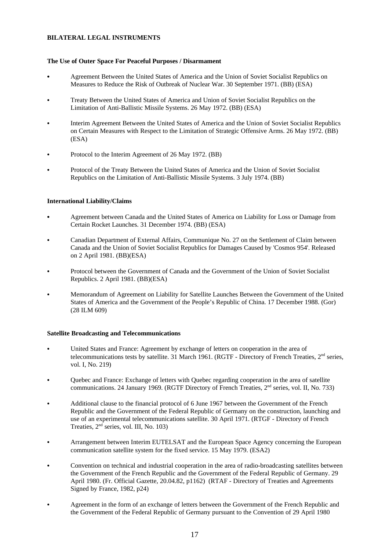# **BILATERAL LEGAL INSTRUMENTS**

## **The Use of Outer Space For Peaceful Purposes / Disarmament**

- Agreement Between the United States of America and the Union of Soviet Socialist Republics on Measures to Reduce the Risk of Outbreak of Nuclear War. 30 September 1971. (BB) (ESA)
- C Treaty Between the United States of America and Union of Soviet Socialist Republics on the Limitation of Anti-Ballistic Missile Systems. 26 May 1972. (BB) (ESA)
- C Interim Agreement Between the United States of America and the Union of Soviet Socialist Republics on Certain Measures with Respect to the Limitation of Strategic Offensive Arms. 26 May 1972. (BB) (ESA)
- Protocol to the Interim Agreement of 26 May 1972. (BB)
- Protocol of the Treaty Between the United States of America and the Union of Soviet Socialist Republics on the Limitation of Anti-Ballistic Missile Systems. 3 July 1974. (BB)

# **International Liability/Claims**

- Agreement between Canada and the United States of America on Liability for Loss or Damage from Certain Rocket Launches. 31 December 1974. (BB) (ESA)
- C Canadian Department of External Affairs, Communique No. 27 on the Settlement of Claim between Canada and the Union of Soviet Socialist Republics for Damages Caused by 'Cosmos 954'. Released on 2 April 1981. (BB)(ESA)
- Protocol between the Government of Canada and the Government of the Union of Soviet Socialist Republics. 2 April 1981. (BB)(ESA)
- C Memorandum of Agreement on Liability for Satellite Launches Between the Government of the United States of America and the Government of the People's Republic of China. 17 December 1988. (Gor) (28 ILM 609)

## **Satellite Broadcasting and Telecommunications**

- C United States and France: Agreement by exchange of letters on cooperation in the area of telecommunications tests by satellite. 31 March 1961. (RGTF - Directory of French Treaties,  $2<sup>nd</sup>$  series, vol. I, No. 219)
- C Quebec and France: Exchange of letters with Quebec regarding cooperation in the area of satellite communications. 24 January 1969. (RGTF Directory of French Treaties, 2<sup>nd</sup> series, vol. II, No. 733)
- Additional clause to the financial protocol of 6 June 1967 between the Government of the French Republic and the Government of the Federal Republic of Germany on the construction, launching and use of an experimental telecommunications satellite. 30 April 1971. (RTGF - Directory of French Treaties,  $2<sup>nd</sup>$  series, vol. III, No. 103)
- Arrangement between Interim EUTELSAT and the European Space Agency concerning the European communication satellite system for the fixed service. 15 May 1979. (ESA2)
- C Convention on technical and industrial cooperation in the area of radio-broadcasting satellites between the Government of the French Republic and the Government of the Federal Republic of Germany. 29 April 1980. (Fr. Official Gazette, 20.04.82, p1162) (RTAF - Directory of Treaties and Agreements Signed by France, 1982, p24)
- Agreement in the form of an exchange of letters between the Government of the French Republic and the Government of the Federal Republic of Germany pursuant to the Convention of 29 April 1980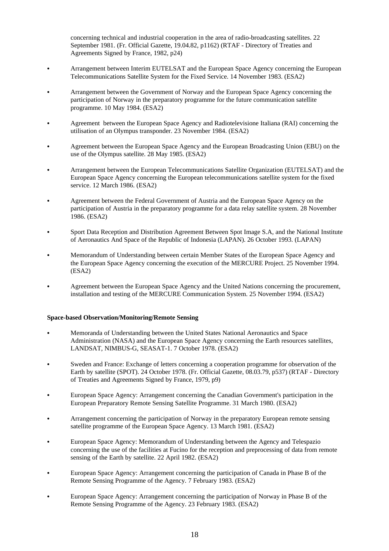concerning technical and industrial cooperation in the area of radio-broadcasting satellites. 22 September 1981. (Fr. Official Gazette, 19.04.82, p1162) (RTAF - Directory of Treaties and Agreements Signed by France, 1982, p24)

- Arrangement between Interim EUTELSAT and the European Space Agency concerning the European Telecommunications Satellite System for the Fixed Service. 14 November 1983. (ESA2)
- Arrangement between the Government of Norway and the European Space Agency concerning the participation of Norway in the preparatory programme for the future communication satellite programme. 10 May 1984. (ESA2)
- Agreement between the European Space Agency and Radiotelevisione Italiana (RAI) concerning the utilisation of an Olympus transponder. 23 November 1984. (ESA2)
- Agreement between the European Space Agency and the European Broadcasting Union (EBU) on the use of the Olympus satellite. 28 May 1985. (ESA2)
- C Arrangement between the European Telecommunications Satellite Organization (EUTELSAT) and the European Space Agency concerning the European telecommunications satellite system for the fixed service. 12 March 1986. (ESA2)
- Agreement between the Federal Government of Austria and the European Space Agency on the participation of Austria in the preparatory programme for a data relay satellite system. 28 November 1986. (ESA2)
- Sport Data Reception and Distribution Agreement Between Spot Image S.A, and the National Institute of Aeronautics And Space of the Republic of Indonesia (LAPAN). 26 October 1993. (LAPAN)
- Memorandum of Understanding between certain Member States of the European Space Agency and the European Space Agency concerning the execution of the MERCURE Project. 25 November 1994. (ESA2)
- Agreement between the European Space Agency and the United Nations concerning the procurement, installation and testing of the MERCURE Communication System. 25 November 1994. (ESA2)

## **Space-based Observation/Monitoring/Remote Sensing**

- Memoranda of Understanding between the United States National Aeronautics and Space Administration (NASA) and the European Space Agency concerning the Earth resources satellites, LANDSAT, NIMBUS-G, SEASAT-1. 7 October 1978. (ESA2)
- Sweden and France: Exchange of letters concerning a cooperation programme for observation of the Earth by satellite (SPOT). 24 October 1978. (Fr. Official Gazette, 08.03.79, p537) (RTAF - Directory of Treaties and Agreements Signed by France, 1979, p9)
- European Space Agency: Arrangement concerning the Canadian Government's participation in the European Preparatory Remote Sensing Satellite Programme. 31 March 1980. (ESA2)
- Arrangement concerning the participation of Norway in the preparatory European remote sensing satellite programme of the European Space Agency. 13 March 1981. (ESA2)
- European Space Agency: Memorandum of Understanding between the Agency and Telespazio concerning the use of the facilities at Fucino for the reception and preprocessing of data from remote sensing of the Earth by satellite. 22 April 1982. (ESA2)
- C European Space Agency: Arrangement concerning the participation of Canada in Phase B of the Remote Sensing Programme of the Agency. 7 February 1983. (ESA2)
- European Space Agency: Arrangement concerning the participation of Norway in Phase B of the Remote Sensing Programme of the Agency. 23 February 1983. (ESA2)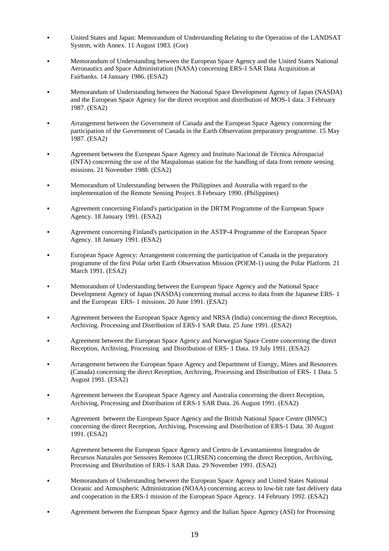- C United States and Japan: Memorandum of Understanding Relating to the Operation of the LANDSAT System, with Annex. 11 August 1983. (Gor)
- Memorandum of Understanding between the European Space Agency and the United States National Aeronautics and Space Administration (NASA) concerning ERS-1 SAR Data Acquisition at Fairbanks. 14 January 1986. (ESA2)
- Memorandum of Understanding between the National Space Development Agency of Japan (NASDA) and the European Space Agency for the direct reception and distribution of MOS-1 data. 3 February 1987. (ESA2)
- Arrangement between the Government of Canada and the European Space Agency concerning the participation of the Government of Canada in the Earth Observation preparatory programme. 15 May 1987. (ESA2)
- C Agreement between the European Space Agency and Instituto Nacional de Técnica Aérospacial (INTA) concerning the use of the Maspalomas station for the handling of data from remote sensing missions. 21 November 1988. (ESA2)
- C Memorandum of Understanding between the Philippines and Australia with regard to the implementation of the Remote Sensing Project. 8 February 1990. (Philippines)
- Agreement concerning Finland's participation in the DRTM Programme of the European Space Agency. 18 January 1991. (ESA2)
- Agreement concerning Finland's participation in the ASTP-4 Programme of the European Space Agency. 18 January 1991. (ESA2)
- European Space Agency: Arrangement concerning the participation of Canada in the preparatory programme of the first Polar orbit Earth Observation Mission (POEM-1) using the Polar Platform. 21 March 1991. (ESA2)
- Memorandum of Understanding between the European Space Agency and the National Space Development Agency of Japan (NASDA) concerning mutual access to data from the Japanese ERS- 1 and the European ERS- 1 missions. 20 June 1991. (ESA2)
- Agreement between the European Space Agency and NRSA (India) concerning the direct Reception, Archiving. Processing and Distribution of ERS-1 SAR Data. 25 June 1991. (ESA2)
- Agreement between the European Space Agency and Norwegian Space Centre concerning the direct Reception, Archiving, Processing and Distribution of ERS- 1 Data. 19 July 1991. (ESA2)
- Arrangement between the European Space Agency and Department of Energy, Mines and Resources (Canada) concerning the direct Reception, Archiving, Processing and Distribution of ERS- 1 Data. 5 August 1991. (ESA2)
- Agreement between the European Space Agency and Australia concerning the direct Reception, Archiving, Processing and Distribution of ERS-1 SAR Data. 26 August 1991. (ESA2)
- Agreement between the European Space Agency and the British National Space Centre (BNSC) concerning the direct Reception, Archiving, Processing and Distribution of ERS-1 Data. 30 August 1991. (ESA2)
- Agreement between the European Space Agency and Centro de Levantamientos Integrados de Recursos Naturales por Sensores Remotos (CLIRSEN) concerning the direct Reception, Archiving, Processing and Distribution of ERS-1 SAR Data. 29 November 1991. (ESA2)
- C Memorandum of Understanding between the European Space Agency and United States National Oceanic and Atmospheric Administration (NOAA) concerning access to low-bit rate fast delivery data and cooperation in the ERS-1 mission of the European Space Agency. 14 February 1992. (ESA2)
- Agreement between the European Space Agency and the Italian Space Agency (ASI) for Processing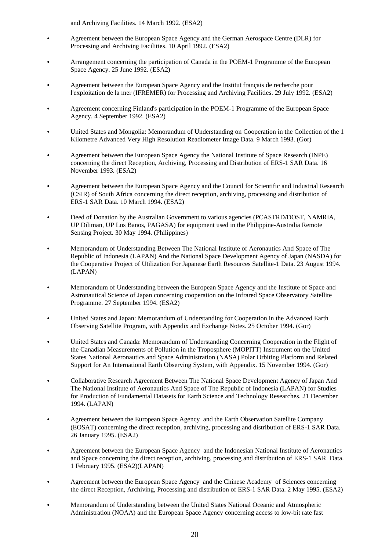and Archiving Facilities. 14 March 1992. (ESA2)

- Agreement between the European Space Agency and the German Aerospace Centre (DLR) for Processing and Archiving Facilities. 10 April 1992. (ESA2)
- Arrangement concerning the participation of Canada in the POEM-1 Programme of the European Space Agency. 25 June 1992. (ESA2)
- Agreement between the European Space Agency and the Institut français de recherche pour l'exploitation de la mer (IFREMER) for Processing and Archiving Facilities. 29 July 1992. (ESA2)
- Agreement concerning Finland's participation in the POEM-1 Programme of the European Space Agency. 4 September 1992. (ESA2)
- C United States and Mongolia: Memorandum of Understanding on Cooperation in the Collection of the 1 Kilometre Advanced Very High Resolution Readiometer Image Data. 9 March 1993. (Gor)
- Agreement between the European Space Agency the National Institute of Space Research (INPE) concerning the direct Reception, Archiving, Processing and Distribution of ERS-1 SAR Data. 16 November 1993. (ESA2)
- Agreement between the European Space Agency and the Council for Scientific and Industrial Research (CSIR) of South Africa concerning the direct reception, archiving, processing and distribution of ERS-1 SAR Data. 10 March 1994. (ESA2)
- Deed of Donation by the Australian Government to various agencies (PCASTRD/DOST, NAMRIA, UP Diliman, UP Los Banos, PAGASA) for equipment used in the Philippine-Australia Remote Sensing Project. 30 May 1994. (Philippines)
- Memorandum of Understanding Between The National Institute of Aeronautics And Space of The Republic of Indonesia (LAPAN) And the National Space Development Agency of Japan (NASDA) for the Cooperative Project of Utilization For Japanese Earth Resources Satellite-1 Data. 23 August 1994. (LAPAN)
- Memorandum of Understanding between the European Space Agency and the Institute of Space and Astronautical Science of Japan concerning cooperation on the Infrared Space Observatory Satellite Programme. 27 September 1994. (ESA2)
- United States and Japan: Memorandum of Understanding for Cooperation in the Advanced Earth Observing Satellite Program, with Appendix and Exchange Notes. 25 October 1994. (Gor)
- C United States and Canada: Memorandum of Understanding Concerning Cooperation in the Flight of the Canadian Measurements of Pollution in the Troposphere (MOPITT) Instrument on the United States National Aeronautics and Space Administration (NASA) Polar Orbiting Platform and Related Support for An International Earth Observing System, with Appendix. 15 November 1994. (Gor)
- C Collaborative Research Agreement Between The National Space Development Agency of Japan And The National Institute of Aeronautics And Space of The Republic of Indonesia (LAPAN) for Studies for Production of Fundamental Datasets for Earth Science and Technology Researches. 21 December 1994. (LAPAN)
- Agreement between the European Space Agency and the Earth Observation Satellite Company (EOSAT) concerning the direct reception, archiving, processing and distribution of ERS-1 SAR Data. 26 January 1995. (ESA2)
- Agreement between the European Space Agency and the Indonesian National Institute of Aeronautics and Space concerning the direct reception, archiving, processing and distribution of ERS-1 SAR Data. 1 February 1995. (ESA2)(LAPAN)
- Agreement between the European Space Agency and the Chinese Academy of Sciences concerning the direct Reception, Archiving, Processing and distribution of ERS-1 SAR Data. 2 May 1995. (ESA2)
- Memorandum of Understanding between the United States National Oceanic and Atmospheric Administration (NOAA) and the European Space Agency concerning access to low-bit rate fast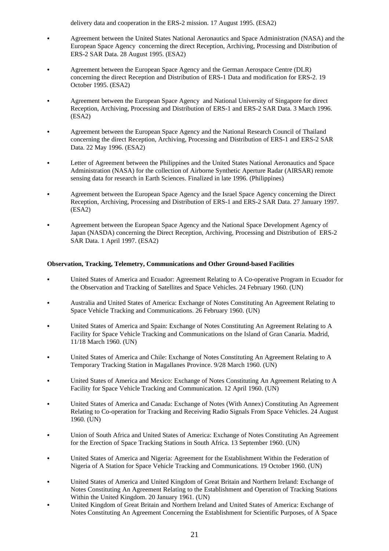delivery data and cooperation in the ERS-2 mission. 17 August 1995. (ESA2)

- Agreement between the United States National Aeronautics and Space Administration (NASA) and the European Space Agency concerning the direct Reception, Archiving, Processing and Distribution of ERS-2 SAR Data. 28 August 1995. (ESA2)
- Agreement between the European Space Agency and the German Aerospace Centre (DLR) concerning the direct Reception and Distribution of ERS-1 Data and modification for ERS-2. 19 October 1995. (ESA2)
- Agreement between the European Space Agency and National University of Singapore for direct Reception, Archiving, Processing and Distribution of ERS-1 and ERS-2 SAR Data. 3 March 1996. (ESA2)
- Agreement between the European Space Agency and the National Research Council of Thailand concerning the direct Reception, Archiving, Processing and Distribution of ERS-1 and ERS-2 SAR Data. 22 May 1996. (ESA2)
- Letter of Agreement between the Philippines and the United States National Aeronautics and Space Administration (NASA) for the collection of Airborne Synthetic Aperture Radar (AIRSAR) remote sensing data for research in Earth Sciences. Finalized in late 1996. (Philippines)
- Agreement between the European Space Agency and the Israel Space Agency concerning the Direct Reception, Archiving, Processing and Distribution of ERS-1 and ERS-2 SAR Data. 27 January 1997. (ESA2)
- Agreement between the European Space Agency and the National Space Development Agency of Japan (NASDA) concerning the Direct Reception, Archiving, Processing and Distribution of ERS-2 SAR Data. 1 April 1997. (ESA2)

## **Observation, Tracking, Telemetry, Communications and Other Ground-based Facilities**

- C United States of America and Ecuador: Agreement Relating to A Co-operative Program in Ecuador for the Observation and Tracking of Satellites and Space Vehicles. 24 February 1960. (UN)
- C Australia and United States of America: Exchange of Notes Constituting An Agreement Relating to Space Vehicle Tracking and Communications. 26 February 1960. (UN)
- C United States of America and Spain: Exchange of Notes Constituting An Agreement Relating to A Facility for Space Vehicle Tracking and Communications on the Island of Gran Canaria. Madrid, 11/18 March 1960. (UN)
- C United States of America and Chile: Exchange of Notes Constituting An Agreement Relating to A Temporary Tracking Station in Magallanes Province. 9/28 March 1960. (UN)
- C United States of America and Mexico: Exchange of Notes Constituting An Agreement Relating to A Facility for Space Vehicle Tracking and Communication. 12 April 1960. (UN)
- United States of America and Canada: Exchange of Notes (With Annex) Constituting An Agreement Relating to Co-operation for Tracking and Receiving Radio Signals From Space Vehicles. 24 August 1960. (UN)
- C Union of South Africa and United States of America: Exchange of Notes Constituting An Agreement for the Erection of Space Tracking Stations in South Africa. 13 September 1960. (UN)
- C United States of America and Nigeria: Agreement for the Establishment Within the Federation of Nigeria of A Station for Space Vehicle Tracking and Communications. 19 October 1960. (UN)
- C United States of America and United Kingdom of Great Britain and Northern Ireland: Exchange of Notes Constituting An Agreement Relating to the Establishment and Operation of Tracking Stations Within the United Kingdom. 20 January 1961. (UN)
- C United Kingdom of Great Britain and Northern Ireland and United States of America: Exchange of Notes Constituting An Agreement Concerning the Establishment for Scientific Purposes, of A Space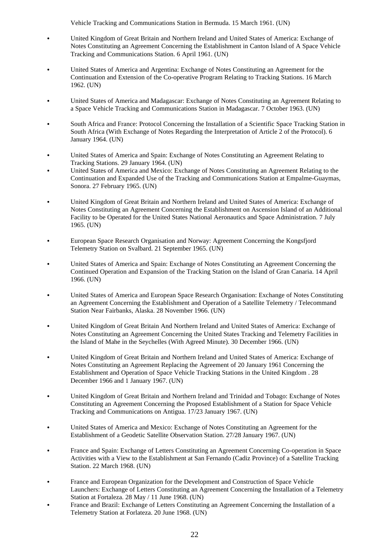Vehicle Tracking and Communications Station in Bermuda. 15 March 1961. (UN)

- C United Kingdom of Great Britain and Northern Ireland and United States of America: Exchange of Notes Constituting an Agreement Concerning the Establishment in Canton Island of A Space Vehicle Tracking and Communications Station. 6 April 1961. (UN)
- C United States of America and Argentina: Exchange of Notes Constituting an Agreement for the Continuation and Extension of the Co-operative Program Relating to Tracking Stations. 16 March 1962. (UN)
- C United States of America and Madagascar: Exchange of Notes Constituting an Agreement Relating to a Space Vehicle Tracking and Communications Station in Madagascar. 7 October 1963. (UN)
- South Africa and France: Protocol Concerning the Installation of a Scientific Space Tracking Station in South Africa (With Exchange of Notes Regarding the Interpretation of Article 2 of the Protocol). 6 January 1964. (UN)
- C United States of America and Spain: Exchange of Notes Constituting an Agreement Relating to Tracking Stations. 29 January 1964. (UN)
- C United States of America and Mexico: Exchange of Notes Constituting an Agreement Relating to the Continuation and Expanded Use of the Tracking and Communications Station at Empalme-Guaymas, Sonora. 27 February 1965. (UN)
- C United Kingdom of Great Britain and Northern Ireland and United States of America: Exchange of Notes Constituting an Agreement Concerning the Establishment on Ascension Island of an Additional Facility to be Operated for the United States National Aeronautics and Space Administration. 7 July 1965. (UN)
- C European Space Research Organisation and Norway: Agreement Concerning the Kongsfjord Telemetry Station on Svalbard. 21 September 1965. (UN)
- C United States of America and Spain: Exchange of Notes Constituting an Agreement Concerning the Continued Operation and Expansion of the Tracking Station on the Island of Gran Canaria. 14 April 1966. (UN)
- C United States of America and European Space Research Organisation: Exchange of Notes Constituting an Agreement Concerning the Establishment and Operation of a Satellite Telemetry / Telecommand Station Near Fairbanks, Alaska. 28 November 1966. (UN)
- C United Kingdom of Great Britain And Northern Ireland and United States of America: Exchange of Notes Constituting an Agreement Concerning the United States Tracking and Telemetry Facilities in the Island of Mahe in the Seychelles (With Agreed Minute). 30 December 1966. (UN)
- C United Kingdom of Great Britain and Northern Ireland and United States of America: Exchange of Notes Constituting an Agreement Replacing the Agreement of 20 January 1961 Concerning the Establishment and Operation of Space Vehicle Tracking Stations in the United Kingdom . 28 December 1966 and 1 January 1967. (UN)
- C United Kingdom of Great Britain and Northern Ireland and Trinidad and Tobago: Exchange of Notes Constituting an Agreement Concerning the Proposed Establishment of a Station for Space Vehicle Tracking and Communications on Antigua. 17/23 January 1967. (UN)
- C United States of America and Mexico: Exchange of Notes Constituting an Agreement for the Establishment of a Geodetic Satellite Observation Station. 27/28 January 1967. (UN)
- France and Spain: Exchange of Letters Constituting an Agreement Concerning Co-operation in Space Activities with a View to the Establishment at San Fernando (Cadiz Province) of a Satellite Tracking Station. 22 March 1968. (UN)
- France and European Organization for the Development and Construction of Space Vehicle Launchers: Exchange of Letters Constituting an Agreement Concerning the Installation of a Telemetry Station at Fortaleza. 28 May / 11 June 1968. (UN)
- France and Brazil: Exchange of Letters Constituting an Agreement Concerning the Installation of a Telemetry Station at Forlateza. 20 June 1968. (UN)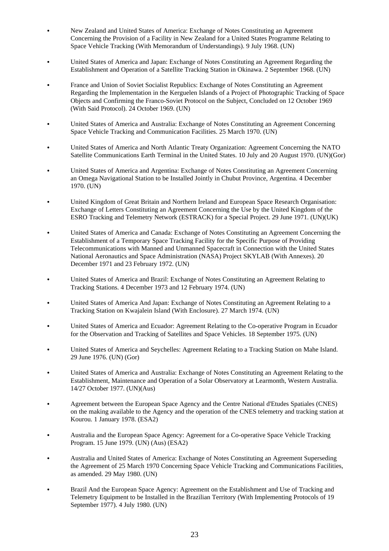- C New Zealand and United States of America: Exchange of Notes Constituting an Agreement Concerning the Provision of a Facility in New Zealand for a United States Programme Relating to Space Vehicle Tracking (With Memorandum of Understandings). 9 July 1968. (UN)
- C United States of America and Japan: Exchange of Notes Constituting an Agreement Regarding the Establishment and Operation of a Satellite Tracking Station in Okinawa. 2 September 1968. (UN)
- France and Union of Soviet Socialist Republics: Exchange of Notes Constituting an Agreement Regarding the Implementation in the Kerguelen Islands of a Project of Photographic Tracking of Space Objects and Confirming the Franco-Soviet Protocol on the Subject, Concluded on 12 October 1969 (With Said Protocol). 24 October 1969. (UN)
- C United States of America and Australia: Exchange of Notes Constituting an Agreement Concerning Space Vehicle Tracking and Communication Facilities. 25 March 1970. (UN)
- C United States of America and North Atlantic Treaty Organization: Agreement Concerning the NATO Satellite Communications Earth Terminal in the United States. 10 July and 20 August 1970. (UN)(Gor)
- C United States of America and Argentina: Exchange of Notes Constituting an Agreement Concerning an Omega Navigational Station to be Installed Jointly in Chubut Province, Argentina. 4 December 1970. (UN)
- C United Kingdom of Great Britain and Northern Ireland and European Space Research Organisation: Exchange of Letters Constituting an Agreement Concerning the Use by the United Kingdom of the ESRO Tracking and Telemetry Network (ESTRACK) for a Special Project. 29 June 1971. (UN)(UK)
- C United States of America and Canada: Exchange of Notes Constituting an Agreement Concerning the Establishment of a Temporary Space Tracking Facility for the Specific Purpose of Providing Telecommunications with Manned and Unmanned Spacecraft in Connection with the United States National Aeronautics and Space Administration (NASA) Project SKYLAB (With Annexes). 20 December 1971 and 23 February 1972. (UN)
- C United States of America and Brazil: Exchange of Notes Constituting an Agreement Relating to Tracking Stations. 4 December 1973 and 12 February 1974. (UN)
- C United States of America And Japan: Exchange of Notes Constituting an Agreement Relating to a Tracking Station on Kwajalein Island (With Enclosure). 27 March 1974. (UN)
- C United States of America and Ecuador: Agreement Relating to the Co-operative Program in Ecuador for the Observation and Tracking of Satellites and Space Vehicles. 18 September 1975. (UN)
- C United States of America and Seychelles: Agreement Relating to a Tracking Station on Mahe Island. 29 June 1976. (UN) (Gor)
- C United States of America and Australia: Exchange of Notes Constituting an Agreement Relating to the Establishment, Maintenance and Operation of a Solar Observatory at Learmonth, Western Australia. 14/27 October 1977. (UN)(Aus)
- Agreement between the European Space Agency and the Centre National d'Etudes Spatiales (CNES) on the making available to the Agency and the operation of the CNES telemetry and tracking station at Kourou. 1 January 1978. (ESA2)
- C Australia and the European Space Agency: Agreement for a Co-operative Space Vehicle Tracking Program. 15 June 1979. (UN) (Aus) (ESA2)
- C Australia and United States of America: Exchange of Notes Constituting an Agreement Superseding the Agreement of 25 March 1970 Concerning Space Vehicle Tracking and Communications Facilities, as amended. 29 May 1980. (UN)
- Brazil And the European Space Agency: Agreement on the Establishment and Use of Tracking and Telemetry Equipment to be Installed in the Brazilian Territory (With Implementing Protocols of 19 September 1977). 4 July 1980. (UN)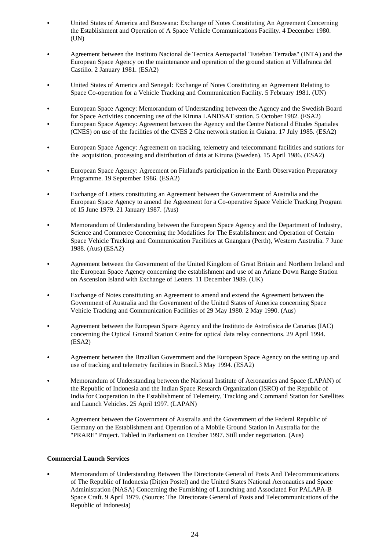- C United States of America and Botswana: Exchange of Notes Constituting An Agreement Concerning the Establishment and Operation of A Space Vehicle Communications Facility. 4 December 1980. (UN)
- C Agreement between the Instituto Nacional de Tecnica Aerospacial "Esteban Terradas" (INTA) and the European Space Agency on the maintenance and operation of the ground station at Villafranca del Castillo. 2 January 1981. (ESA2)
- C United States of America and Senegal: Exchange of Notes Constituting an Agreement Relating to Space Co-operation for a Vehicle Tracking and Communication Facility. 5 February 1981. (UN)
- C European Space Agency: Memorandum of Understanding between the Agency and the Swedish Board for Space Activities concerning use of the Kiruna LANDSAT station. 5 October 1982. (ESA2)
- C European Space Agency: Agreement between the Agency and the Centre National d'Etudes Spatiales (CNES) on use of the facilities of the CNES 2 Ghz network station in Guiana. 17 July 1985. (ESA2)
- European Space Agency: Agreement on tracking, telemetry and telecommand facilities and stations for the acquisition, processing and distribution of data at Kiruna (Sweden). 15 April 1986. (ESA2)
- European Space Agency: Agreement on Finland's participation in the Earth Observation Preparatory Programme. 19 September 1986. (ESA2)
- Exchange of Letters constituting an Agreement between the Government of Australia and the European Space Agency to amend the Agreement for a Co-operative Space Vehicle Tracking Program of 15 June 1979. 21 January 1987. (Aus)
- Memorandum of Understanding between the European Space Agency and the Department of Industry, Science and Commerce Concerning the Modalities for The Establishment and Operation of Certain Space Vehicle Tracking and Communication Facilities at Gnangara (Perth), Western Australia. 7 June 1988. (Aus) (ESA2)
- Agreement between the Government of the United Kingdom of Great Britain and Northern Ireland and the European Space Agency concerning the establishment and use of an Ariane Down Range Station on Ascension Island with Exchange of Letters. 11 December 1989. (UK)
- Exchange of Notes constituting an Agreement to amend and extend the Agreement between the Government of Australia and the Government of the United States of America concerning Space Vehicle Tracking and Communication Facilities of 29 May 1980. 2 May 1990. (Aus)
- C Agreement between the European Space Agency and the Instituto de Astrofisica de Canarias (IAC) concerning the Optical Ground Station Centre for optical data relay connections. 29 April 1994. (ESA2)
- Agreement between the Brazilian Government and the European Space Agency on the setting up and use of tracking and telemetry facilities in Brazil.3 May 1994. (ESA2)
- C Memorandum of Understanding between the National Institute of Aeronautics and Space (LAPAN) of the Republic of Indonesia and the Indian Space Research Organization (ISRO) of the Republic of India for Cooperation in the Establishment of Telemetry, Tracking and Command Station for Satellites and Launch Vehicles. 25 April 1997. (LAPAN)
- Agreement between the Government of Australia and the Government of the Federal Republic of Germany on the Establishment and Operation of a Mobile Ground Station in Australia for the "PRARE" Project. Tabled in Parliament on October 1997. Still under negotiation. (Aus)

## **Commercial Launch Services**

Memorandum of Understanding Between The Directorate General of Posts And Telecommunications of The Republic of Indonesia (Ditjen Postel) and the United States National Aeronautics and Space Administration (NASA) Concerning the Furnishing of Launching and Associated For PALAPA-B Space Craft. 9 April 1979. (Source: The Directorate General of Posts and Telecommunications of the Republic of Indonesia)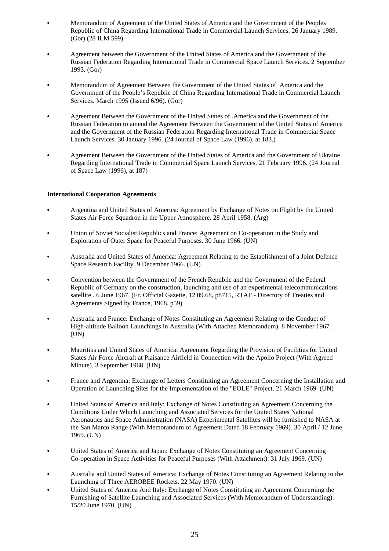- C Memorandum of Agreement of the United States of America and the Government of the Peoples Republic of China Regarding International Trade in Commercial Launch Services. 26 January 1989. (Gor) (28 ILM 599)
- Agreement between the Government of the United States of America and the Government of the Russian Federation Regarding International Trade in Commercial Space Launch Services. 2 September 1993. (Gor)
- Memorandum of Agreement Between the Government of the United States of America and the Government of the People's Republic of China Regarding International Trade in Commercial Launch Services. March 1995 (Issued 6/96). (Gor)
- Agreement Between the Government of the United States of .America and the Government of the Russian Federation to amend the Agreement Between the Government of the United States of America and the Government of the Russian Federation Regarding International Trade in Commercial Space Launch Services. 30 January 1996. (24 Journal of Space Law (1996), at 183.)
- Agreement Between the Government of the United States of America and the Government of Ukraine Regarding International Trade in Commercial Space Launch Services. 21 February 1996. (24 Journal of Space Law (1996), at 187)

# **International Cooperation Agreements**

- C Argentina and United States of America: Agreement by Exchange of Notes on Flight by the United States Air Force Squadron in the Upper Atmosphere. 28 April 1958. (Arg)
- C Union of Soviet Socialist Republics and France: Agreement on Co-operation in the Study and Exploration of Outer Space for Peaceful Purposes. 30 June 1966. (UN)
- C Australia and United States of America: Agreement Relating to the Establishment of a Joint Defence Space Research Facility. 9 December 1966. (UN)
- C Convention between the Government of the French Republic and the Government of the Federal Republic of Germany on the construction, launching and use of an experimental telecommunications satellite . 6 June 1967. (Fr. Official Gazette, 12.09.68, p8715, RTAF - Directory of Treaties and Agreements Signed by France, 1968, p59)
- Australia and France: Exchange of Notes Constituting an Agreement Relating to the Conduct of High-altitude Balloon Launchings in Australia (With Attached Memorandum). 8 November 1967. (UN)
- C Mauritius and United States of America: Agreement Regarding the Provision of Facilities for United States Air Force Aircraft at Plaisance Airfield in Connection with the Apollo Project (With Agreed Minute). 3 September 1968. (UN)
- France and Argentina: Exchange of Letters Constituting an Agreement Concerning the Installation and Operation of Launching Sites for the Implementation of the "EOLE" Project. 21 March 1969. (UN)
- United States of America and Italy: Exchange of Notes Constituting an Agreement Concerning the Conditions Under Which Launching and Associated Services for the United States National Aeronautics and Space Administration (NASA) Experimental Satellites will be furnished to NASA at the San Marco Range (With Memorandum of Agreement Dated 18 February 1969). 30 April / 12 June 1969. (UN)
- C United States of America and Japan: Exchange of Notes Constituting an Agreement Concerning Co-operation in Space Activities for Peaceful Purposes (With Attachment). 31 July 1969. (UN)
- Australia and United States of America: Exchange of Notes Constituting an Agreement Relating to the Launching of Three AEROBEE Rockets. 22 May 1970. (UN)
- C United States of America And Italy: Exchange of Notes Constituting an Agreement Concerning the Furnishing of Satellite Launching and Associated Services (With Memorandum of Understanding). 15/20 June 1970. (UN)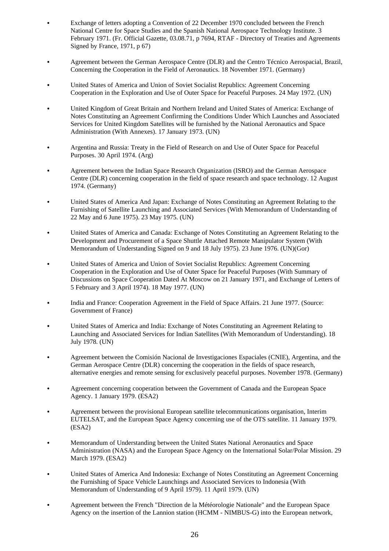- Exchange of letters adopting a Convention of 22 December 1970 concluded between the French National Centre for Space Studies and the Spanish National Aerospace Technology Institute. 3 February 1971. (Fr. Official Gazette, 03.08.71, p 7694, RTAF - Directory of Treaties and Agreements Signed by France, 1971, p 67)
- Agreement between the German Aerospace Centre (DLR) and the Centro Técnico Aerospacial, Brazil, Concerning the Cooperation in the Field of Aeronautics. 18 November 1971. (Germany)
- C United States of America and Union of Soviet Socialist Republics: Agreement Concerning Cooperation in the Exploration and Use of Outer Space for Peaceful Purposes. 24 May 1972. (UN)
- C United Kingdom of Great Britain and Northern Ireland and United States of America: Exchange of Notes Constituting an Agreement Confirming the Conditions Under Which Launches and Associated Services for United Kingdom Satellites will be furnished by the National Aeronautics and Space Administration (With Annexes). 17 January 1973. (UN)
- Argentina and Russia: Treaty in the Field of Research on and Use of Outer Space for Peaceful Purposes. 30 April 1974. (Arg)
- C Agreement between the Indian Space Research Organization (ISRO) and the German Aerospace Centre (DLR) concerning cooperation in the field of space research and space technology. 12 August 1974. (Germany)
- C United States of America And Japan: Exchange of Notes Constituting an Agreement Relating to the Furnishing of Satellite Launching and Associated Services (With Memorandum of Understanding of 22 May and 6 June 1975). 23 May 1975. (UN)
- C United States of America and Canada: Exchange of Notes Constituting an Agreement Relating to the Development and Procurement of a Space Shuttle Attached Remote Manipulator System (With Memorandum of Understanding Signed on 9 and 18 July 1975). 23 June 1976. (UN)(Gor)
- C United States of America and Union of Soviet Socialist Republics: Agreement Concerning Cooperation in the Exploration and Use of Outer Space for Peaceful Purposes (With Summary of Discussions on Space Cooperation Dated At Moscow on 21 January 1971, and Exchange of Letters of 5 February and 3 April 1974). 18 May 1977. (UN)
- India and France: Cooperation Agreement in the Field of Space Affairs. 21 June 1977. (Source: Government of France)
- C United States of America and India: Exchange of Notes Constituting an Agreement Relating to Launching and Associated Services for Indian Satellites (With Memorandum of Understanding). 18 July 1978. (UN)
- Agreement between the Comisión Nacional de Investigaciones Espaciales (CNIE), Argentina, and the German Aerospace Centre (DLR) concerning the cooperation in the fields of space research, alternative energies and remote sensing for exclusively peaceful purposes. November 1978. (Germany)
- Agreement concerning cooperation between the Government of Canada and the European Space Agency. 1 January 1979. (ESA2)
- Agreement between the provisional European satellite telecommunications organisation, Interim EUTELSAT, and the European Space Agency concerning use of the OTS satellite. 11 January 1979. (ESA2)
- Memorandum of Understanding between the United States National Aeronautics and Space Administration (NASA) and the European Space Agency on the International Solar/Polar Mission. 29 March 1979. (ESA2)
- C United States of America And Indonesia: Exchange of Notes Constituting an Agreement Concerning the Furnishing of Space Vehicle Launchings and Associated Services to Indonesia (With Memorandum of Understanding of 9 April 1979). 11 April 1979. (UN)
- Agreement between the French "Direction de la Météorologie Nationale" and the European Space Agency on the insertion of the Lannion station (HCMM - NIMBUS-G) into the European network,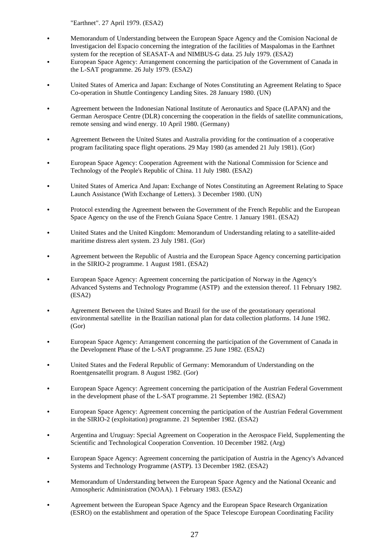"Earthnet". 27 April 1979. (ESA2)

- Memorandum of Understanding between the European Space Agency and the Comision Nacional de Investigacion del Espacio concerning the integration of the facilities of Maspalomas in the Earthnet system for the reception of SEASAT-A and NIMBUS-G data. 25 July 1979. (ESA2)
- European Space Agency: Arrangement concerning the participation of the Government of Canada in the L-SAT programme. 26 July 1979. (ESA2)
- C United States of America and Japan: Exchange of Notes Constituting an Agreement Relating to Space Co-operation in Shuttle Contingency Landing Sites. 28 January 1980. (UN)
- Agreement between the Indonesian National Institute of Aeronautics and Space (LAPAN) and the German Aerospace Centre (DLR) concerning the cooperation in the fields of satellite communications, remote sensing and wind energy. 10 April 1980. (Germany)
- Agreement Between the United States and Australia providing for the continuation of a cooperative program facilitating space flight operations. 29 May 1980 (as amended 21 July 1981). (Gor)
- European Space Agency: Cooperation Agreement with the National Commission for Science and Technology of the People's Republic of China. 11 July 1980. (ESA2)
- C United States of America And Japan: Exchange of Notes Constituting an Agreement Relating to Space Launch Assistance (With Exchange of Letters). 3 December 1980. (UN)
- Protocol extending the Agreement between the Government of the French Republic and the European Space Agency on the use of the French Guiana Space Centre. 1 January 1981. (ESA2)
- C United States and the United Kingdom: Memorandum of Understanding relating to a satellite-aided maritime distress alert system. 23 July 1981. (Gor)
- Agreement between the Republic of Austria and the European Space Agency concerning participation in the SIRIO-2 programme. 1 August 1981. (ESA2)
- European Space Agency: Agreement concerning the participation of Norway in the Agency's Advanced Systems and Technology Programme (ASTP) and the extension thereof. 11 February 1982. (ESA2)
- Agreement Between the United States and Brazil for the use of the geostationary operational environmental satellite in the Brazilian national plan for data collection platforms. 14 June 1982. (Gor)
- European Space Agency: Arrangement concerning the participation of the Government of Canada in the Development Phase of the L-SAT programme. 25 June 1982. (ESA2)
- C United States and the Federal Republic of Germany: Memorandum of Understanding on the Roentgensatellit program. 8 August 1982. (Gor)
- European Space Agency: Agreement concerning the participation of the Austrian Federal Government in the development phase of the L-SAT programme. 21 September 1982. (ESA2)
- European Space Agency: Agreement concerning the participation of the Austrian Federal Government in the SIRIO-2 (exploitation) programme. 21 September 1982. (ESA2)
- Argentina and Uruguay: Special Agreement on Cooperation in the Aerospace Field, Supplementing the Scientific and Technological Cooperation Convention. 10 December 1982. (Arg)
- European Space Agency: Agreement concerning the participation of Austria in the Agency's Advanced Systems and Technology Programme (ASTP). 13 December 1982. (ESA2)
- Memorandum of Understanding between the European Space Agency and the National Oceanic and Atmospheric Administration (NOAA). 1 February 1983. (ESA2)
- Agreement between the European Space Agency and the European Space Research Organization (ESRO) on the establishment and operation of the Space Telescope European Coordinating Facility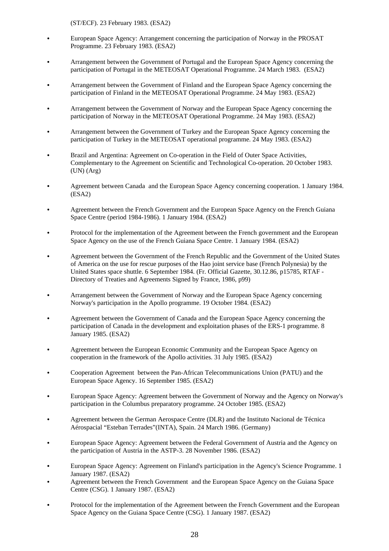(ST/ECF). 23 February 1983. (ESA2)

- European Space Agency: Arrangement concerning the participation of Norway in the PROSAT Programme. 23 February 1983. (ESA2)
- Arrangement between the Government of Portugal and the European Space Agency concerning the participation of Portugal in the METEOSAT Operational Programme. 24 March 1983. (ESA2)
- Arrangement between the Government of Finland and the European Space Agency concerning the participation of Finland in the METEOSAT Operational Programme. 24 May 1983. (ESA2)
- C Arrangement between the Government of Norway and the European Space Agency concerning the participation of Norway in the METEOSAT Operational Programme. 24 May 1983. (ESA2)
- Arrangement between the Government of Turkey and the European Space Agency concerning the participation of Turkey in the METEOSAT operational programme. 24 May 1983. (ESA2)
- Brazil and Argentina: Agreement on Co-operation in the Field of Outer Space Activities, Complementary to the Agreement on Scientific and Technological Co-operation. 20 October 1983. (UN) (Arg)
- Agreement between Canada and the European Space Agency concerning cooperation. 1 January 1984. (ESA2)
- Agreement between the French Government and the European Space Agency on the French Guiana Space Centre (period 1984-1986). 1 January 1984. (ESA2)
- Protocol for the implementation of the Agreement between the French government and the European Space Agency on the use of the French Guiana Space Centre. 1 January 1984. (ESA2)
- Agreement between the Government of the French Republic and the Government of the United States of America on the use for rescue purposes of the Hao joint service base (French Polynesia) by the United States space shuttle. 6 September 1984. (Fr. Official Gazette, 30.12.86, p15785, RTAF - Directory of Treaties and Agreements Signed by France, 1986, p99)
- Arrangement between the Government of Norway and the European Space Agency concerning Norway's participation in the Apollo programme. 19 October 1984. (ESA2)
- Agreement between the Government of Canada and the European Space Agency concerning the participation of Canada in the development and exploitation phases of the ERS-1 programme. 8 January 1985. (ESA2)
- Agreement between the European Economic Community and the European Space Agency on cooperation in the framework of the Apollo activities. 31 July 1985. (ESA2)
- C Cooperation Agreement between the Pan-African Telecommunications Union (PATU) and the European Space Agency. 16 September 1985. (ESA2)
- European Space Agency: Agreement between the Government of Norway and the Agency on Norway's participation in the Columbus preparatory programme. 24 October 1985. (ESA2)
- Agreement between the German Aerospace Centre (DLR) and the Instituto Nacional de Técnica Aérospacial "Esteban Terrades"(INTA), Spain. 24 March 1986. (Germany)
- European Space Agency: Agreement between the Federal Government of Austria and the Agency on the participation of Austria in the ASTP-3. 28 November 1986. (ESA2)
- European Space Agency: Agreement on Finland's participation in the Agency's Science Programme. 1 January 1987. (ESA2)
- Agreement between the French Government and the European Space Agency on the Guiana Space Centre (CSG). 1 January 1987. (ESA2)
- Protocol for the implementation of the Agreement between the French Government and the European Space Agency on the Guiana Space Centre (CSG). 1 January 1987. (ESA2)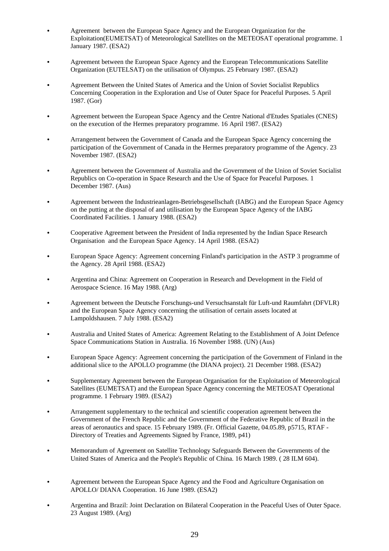- Agreement between the European Space Agency and the European Organization for the Exploitation(EUMETSAT) of Meteorological Satellites on the METEOSAT operational programme. 1 January 1987. (ESA2)
- Agreement between the European Space Agency and the European Telecommunications Satellite Organization (EUTELSAT) on the utilisation of Olympus. 25 February 1987. (ESA2)
- Agreement Between the United States of America and the Union of Soviet Socialist Republics Concerning Cooperation in the Exploration and Use of Outer Space for Peaceful Purposes. 5 April 1987. (Gor)
- Agreement between the European Space Agency and the Centre National d'Etudes Spatiales (CNES) on the execution of the Hermes preparatory programme. 16 April 1987. (ESA2)
- Arrangement between the Government of Canada and the European Space Agency concerning the participation of the Government of Canada in the Hermes preparatory programme of the Agency. 23 November 1987. (ESA2)
- Agreement between the Government of Australia and the Government of the Union of Soviet Socialist Republics on Co-operation in Space Research and the Use of Space for Peaceful Purposes. 1 December 1987. (Aus)
- Agreement between the Industrieanlagen-Betriebsgesellschaft (IABG) and the European Space Agency on the putting at the disposal of and utilisation by the European Space Agency of the IABG Coordinated Facilities. 1 January 1988. (ESA2)
- C Cooperative Agreement between the President of India represented by the Indian Space Research Organisation and the European Space Agency. 14 April 1988. (ESA2)
- European Space Agency: Agreement concerning Finland's participation in the ASTP 3 programme of the Agency. 28 April 1988. (ESA2)
- Argentina and China: Agreement on Cooperation in Research and Development in the Field of Aerospace Science. 16 May 1988. (Arg)
- C Agreement between the Deutsche Forschungs-und Versuchsanstalt für Luft-und Raumfahrt (DFVLR) and the European Space Agency concerning the utilisation of certain assets located at Lampoldshausen. 7 July 1988. (ESA2)
- Australia and United States of America: Agreement Relating to the Establishment of A Joint Defence Space Communications Station in Australia. 16 November 1988. (UN) (Aus)
- European Space Agency: Agreement concerning the participation of the Government of Finland in the additional slice to the APOLLO programme (the DIANA project). 21 December 1988. (ESA2)
- Supplementary Agreement between the European Organisation for the Exploitation of Meteorological Satellites (EUMETSAT) and the European Space Agency concerning the METEOSAT Operational programme. 1 February 1989. (ESA2)
- Arrangement supplementary to the technical and scientific cooperation agreement between the Government of the French Republic and the Government of the Federative Republic of Brazil in the areas of aeronautics and space. 15 February 1989. (Fr. Official Gazette, 04.05.89, p5715, RTAF - Directory of Treaties and Agreements Signed by France, 1989, p41)
- C Memorandum of Agreement on Satellite Technology Safeguards Between the Governments of the United States of America and the People's Republic of China. 16 March 1989. ( 28 ILM 604).
- Agreement between the European Space Agency and the Food and Agriculture Organisation on APOLLO/ DIANA Cooperation. 16 June 1989. (ESA2)
- C Argentina and Brazil: Joint Declaration on Bilateral Cooperation in the Peaceful Uses of Outer Space. 23 August 1989. (Arg)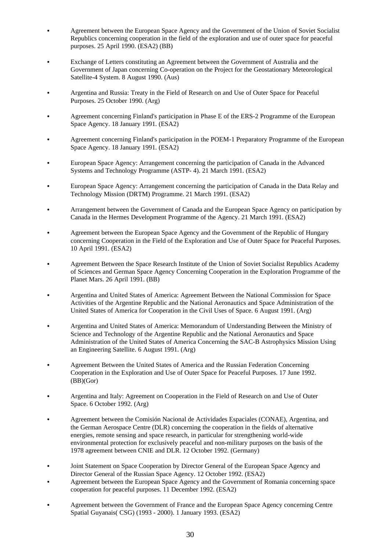- Agreement between the European Space Agency and the Government of the Union of Soviet Socialist Republics concerning cooperation in the field of the exploration and use of outer space for peaceful purposes. 25 April 1990. (ESA2) (BB)
- Exchange of Letters constituting an Agreement between the Government of Australia and the Government of Japan concerning Co-operation on the Project for the Geostationary Meteorological Satellite-4 System. 8 August 1990. (Aus)
- Argentina and Russia: Treaty in the Field of Research on and Use of Outer Space for Peaceful Purposes. 25 October 1990. (Arg)
- Agreement concerning Finland's participation in Phase E of the ERS-2 Programme of the European Space Agency. 18 January 1991. (ESA2)
- Agreement concerning Finland's participation in the POEM-1 Preparatory Programme of the European Space Agency. 18 January 1991. (ESA2)
- European Space Agency: Arrangement concerning the participation of Canada in the Advanced Systems and Technology Programme (ASTP- 4). 21 March 1991. (ESA2)
- European Space Agency: Arrangement concerning the participation of Canada in the Data Relay and Technology Mission (DRTM) Programme. 21 March 1991. (ESA2)
- Arrangement between the Government of Canada and the European Space Agency on participation by Canada in the Hermes Development Programme of the Agency. 21 March 1991. (ESA2)
- Agreement between the European Space Agency and the Government of the Republic of Hungary concerning Cooperation in the Field of the Exploration and Use of Outer Space for Peaceful Purposes. 10 April 1991. (ESA2)
- Agreement Between the Space Research Institute of the Union of Soviet Socialist Republics Academy of Sciences and German Space Agency Concerning Cooperation in the Exploration Programme of the Planet Mars. 26 April 1991. (BB)
- Argentina and United States of America: Agreement Between the National Commission for Space Activities of the Argentine Republic and the National Aeronautics and Space Administration of the United States of America for Cooperation in the Civil Uses of Space. 6 August 1991. (Arg)
- Argentina and United States of America: Memorandum of Understanding Between the Ministry of Science and Technology of the Argentine Republic and the National Aeronautics and Space Administration of the United States of America Concerning the SAC-B Astrophysics Mission Using an Engineering Satellite. 6 August 1991. (Arg)
- Agreement Between the United States of America and the Russian Federation Concerning Cooperation in the Exploration and Use of Outer Space for Peaceful Purposes. 17 June 1992. (BB)(Gor)
- Argentina and Italy: Agreement on Cooperation in the Field of Research on and Use of Outer Space. 6 October 1992. (Arg)
- Agreement between the Comisión Nacional de Actividades Espaciales (CONAE), Argentina, and the German Aerospace Centre (DLR) concerning the cooperation in the fields of alternative energies, remote sensing and space research, in particular for strengthening world-wide environmental protection for exclusively peaceful and non-military purposes on the basis of the 1978 agreement between CNIE and DLR. 12 October 1992. (Germany)
- Joint Statement on Space Cooperation by Director General of the European Space Agency and Director General of the Russian Space Agency. 12 October 1992. (ESA2)
- Agreement between the European Space Agency and the Government of Romania concerning space cooperation for peaceful purposes. 11 December 1992. (ESA2)
- Agreement between the Government of France and the European Space Agency concerning Centre Spatial Guyanais( CSG) (1993 - 2000). 1 January 1993. (ESA2)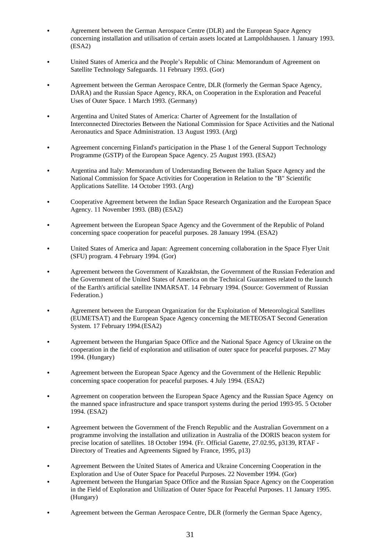- Agreement between the German Aerospace Centre (DLR) and the European Space Agency concerning installation and utilisation of certain assets located at Lampoldshausen. 1 January 1993. (ESA2)
- United States of America and the People's Republic of China: Memorandum of Agreement on Satellite Technology Safeguards. 11 February 1993. (Gor)
- Agreement between the German Aerospace Centre, DLR (formerly the German Space Agency, DARA) and the Russian Space Agency, RKA, on Cooperation in the Exploration and Peaceful Uses of Outer Space. 1 March 1993. (Germany)
- Argentina and United States of America: Charter of Agreement for the Installation of Interconnected Directories Between the National Commission for Space Activities and the National Aeronautics and Space Administration. 13 August 1993. (Arg)
- Agreement concerning Finland's participation in the Phase 1 of the General Support Technology Programme (GSTP) of the European Space Agency. 25 August 1993. (ESA2)
- Argentina and Italy: Memorandum of Understanding Between the Italian Space Agency and the National Commission for Space Activities for Cooperation in Relation to the "B" Scientific Applications Satellite. 14 October 1993. (Arg)
- C Cooperative Agreement between the Indian Space Research Organization and the European Space Agency. 11 November 1993. (BB) (ESA2)
- Agreement between the European Space Agency and the Government of the Republic of Poland concerning space cooperation for peaceful purposes. 28 January 1994. (ESA2)
- C United States of America and Japan: Agreement concerning collaboration in the Space Flyer Unit (SFU) program. 4 February 1994. (Gor)
- Agreement between the Government of Kazakhstan, the Government of the Russian Federation and the Government of the United States of America on the Technical Guarantees related to the launch of the Earth's artificial satellite INMARSAT. 14 February 1994. (Source: Government of Russian Federation.)
- Agreement between the European Organization for the Exploitation of Meteorological Satellites (EUMETSAT) and the European Space Agency concerning the METEOSAT Second Generation System. 17 February 1994.(ESA2)
- Agreement between the Hungarian Space Office and the National Space Agency of Ukraine on the cooperation in the field of exploration and utilisation of outer space for peaceful purposes. 27 May 1994. (Hungary)
- Agreement between the European Space Agency and the Government of the Hellenic Republic concerning space cooperation for peaceful purposes. 4 July 1994. (ESA2)
- Agreement on cooperation between the European Space Agency and the Russian Space Agency on the manned space infrastructure and space transport systems during the period 1993-95. 5 October 1994. (ESA2)
- Agreement between the Government of the French Republic and the Australian Government on a programme involving the installation and utilization in Australia of the DORIS beacon system for precise location of satellites. 18 October 1994. (Fr. Official Gazette, 27.02.95, p3139, RTAF - Directory of Treaties and Agreements Signed by France, 1995, p13)
- Agreement Between the United States of America and Ukraine Concerning Cooperation in the Exploration and Use of Outer Space for Peaceful Purposes. 22 November 1994. (Gor)
- Agreement between the Hungarian Space Office and the Russian Space Agency on the Cooperation in the Field of Exploration and Utilization of Outer Space for Peaceful Purposes. 11 January 1995. (Hungary)
- Agreement between the German Aerospace Centre, DLR (formerly the German Space Agency,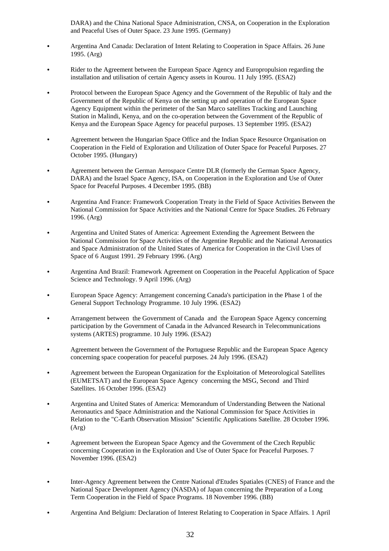DARA) and the China National Space Administration, CNSA, on Cooperation in the Exploration and Peaceful Uses of Outer Space. 23 June 1995. (Germany)

- C Argentina And Canada: Declaration of Intent Relating to Cooperation in Space Affairs. 26 June 1995. (Arg)
- Rider to the Agreement between the European Space Agency and Europropulsion regarding the installation and utilisation of certain Agency assets in Kourou. 11 July 1995. (ESA2)
- Protocol between the European Space Agency and the Government of the Republic of Italy and the Government of the Republic of Kenya on the setting up and operation of the European Space Agency Equipment within the perimeter of the San Marco satellites Tracking and Launching Station in Malindi, Kenya, and on the co-operation between the Government of the Republic of Kenya and the European Space Agency for peaceful purposes. 13 September 1995. (ESA2)
- Agreement between the Hungarian Space Office and the Indian Space Resource Organisation on Cooperation in the Field of Exploration and Utilization of Outer Space for Peaceful Purposes. 27 October 1995. (Hungary)
- Agreement between the German Aerospace Centre DLR (formerly the German Space Agency, DARA) and the Israel Space Agency, ISA, on Cooperation in the Exploration and Use of Outer Space for Peaceful Purposes. 4 December 1995. (BB)
- C Argentina And France: Framework Cooperation Treaty in the Field of Space Activities Between the National Commission for Space Activities and the National Centre for Space Studies. 26 February 1996. (Arg)
- Argentina and United States of America: Agreement Extending the Agreement Between the National Commission for Space Activities of the Argentine Republic and the National Aeronautics and Space Administration of the United States of America for Cooperation in the Civil Uses of Space of 6 August 1991. 29 February 1996. (Arg)
- C Argentina And Brazil: Framework Agreement on Cooperation in the Peaceful Application of Space Science and Technology. 9 April 1996. (Arg)
- C European Space Agency: Arrangement concerning Canada's participation in the Phase 1 of the General Support Technology Programme. 10 July 1996. (ESA2)
- Arrangement between the Government of Canada and the European Space Agency concerning participation by the Government of Canada in the Advanced Research in Telecommunications systems (ARTES) programme. 10 July 1996. (ESA2)
- Agreement between the Government of the Portuguese Republic and the European Space Agency concerning space cooperation for peaceful purposes. 24 July 1996. (ESA2)
- Agreement between the European Organization for the Exploitation of Meteorological Satellites (EUMETSAT) and the European Space Agency concerning the MSG, Second and Third Satellites. 16 October 1996. (ESA2)
- Argentina and United States of America: Memorandum of Understanding Between the National Aeronautics and Space Administration and the National Commission for Space Activities in Relation to the "C-Earth Observation Mission" Scientific Applications Satellite. 28 October 1996. (Arg)
- Agreement between the European Space Agency and the Government of the Czech Republic concerning Cooperation in the Exploration and Use of Outer Space for Peaceful Purposes. 7 November 1996. (ESA2)
- C Inter-Agency Agreement between the Centre National d'Etudes Spatiales (CNES) of France and the National Space Development Agency (NASDA) of Japan concerning the Preparation of a Long Term Cooperation in the Field of Space Programs. 18 November 1996. (BB)
- C Argentina And Belgium: Declaration of Interest Relating to Cooperation in Space Affairs. 1 April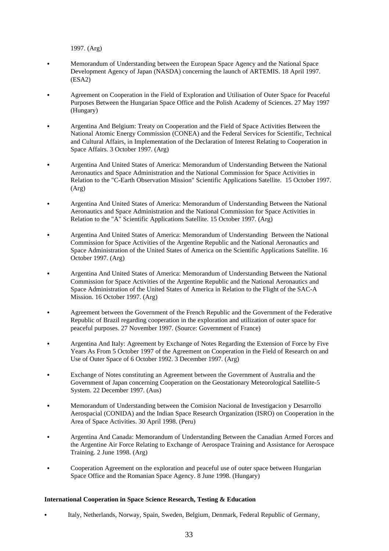1997. (Arg)

- Memorandum of Understanding between the European Space Agency and the National Space Development Agency of Japan (NASDA) concerning the launch of ARTEMIS. 18 April 1997. (ESA2)
- Agreement on Cooperation in the Field of Exploration and Utilisation of Outer Space for Peaceful Purposes Between the Hungarian Space Office and the Polish Academy of Sciences. 27 May 1997 (Hungary)
- Argentina And Belgium: Treaty on Cooperation and the Field of Space Activities Between the National Atomic Energy Commission (CONEA) and the Federal Services for Scientific, Technical and Cultural Affairs, in Implementation of the Declaration of Interest Relating to Cooperation in Space Affairs. 3 October 1997. (Arg)
- Argentina And United States of America: Memorandum of Understanding Between the National Aeronautics and Space Administration and the National Commission for Space Activities in Relation to the "C-Earth Observation Mission" Scientific Applications Satellite. 15 October 1997. (Arg)
- C Argentina And United States of America: Memorandum of Understanding Between the National Aeronautics and Space Administration and the National Commission for Space Activities in Relation to the "A" Scientific Applications Satellite. 15 October 1997. (Arg)
- C Argentina And United States of America: Memorandum of Understanding Between the National Commission for Space Activities of the Argentine Republic and the National Aeronautics and Space Administration of the United States of America on the Scientific Applications Satellite. 16 October 1997. (Arg)
- C Argentina And United States of America: Memorandum of Understanding Between the National Commission for Space Activities of the Argentine Republic and the National Aeronautics and Space Administration of the United States of America in Relation to the Flight of the SAC-A Mission. 16 October 1997. (Arg)
- Agreement between the Government of the French Republic and the Government of the Federative Republic of Brazil regarding cooperation in the exploration and utilization of outer space for peaceful purposes. 27 November 1997. (Source: Government of France)
- Argentina And Italy: Agreement by Exchange of Notes Regarding the Extension of Force by Five Years As From 5 October 1997 of the Agreement on Cooperation in the Field of Research on and Use of Outer Space of 6 October 1992. 3 December 1997. (Arg)
- Exchange of Notes constituting an Agreement between the Government of Australia and the Government of Japan concerning Cooperation on the Geostationary Meteorological Satellite-5 System. 22 December 1997. (Aus)
- C Memorandum of Understanding between the Comision Nacional de Investigacion y Desarrollo Aerospacial (CONIDA) and the Indian Space Research Organization (ISRO) on Cooperation in the Area of Space Activities. 30 April 1998. (Peru)
- C Argentina And Canada: Memorandum of Understanding Between the Canadian Armed Forces and the Argentine Air Force Relating to Exchange of Aerospace Training and Assistance for Aerospace Training. 2 June 1998. (Arg)
- C Cooperation Agreement on the exploration and peaceful use of outer space between Hungarian Space Office and the Romanian Space Agency. 8 June 1998. (Hungary)

## **International Cooperation in Space Science Research, Testing & Education**

Italy, Netherlands, Norway, Spain, Sweden, Belgium, Denmark, Federal Republic of Germany,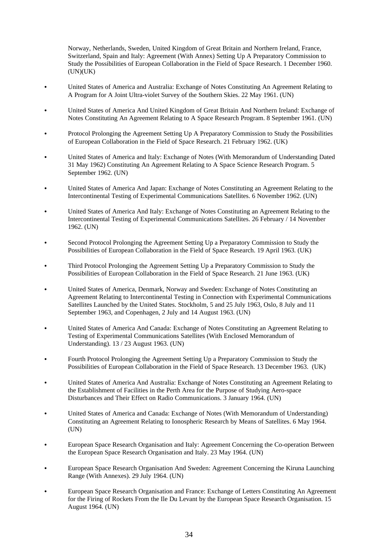Norway, Netherlands, Sweden, United Kingdom of Great Britain and Northern Ireland, France, Switzerland, Spain and Italy: Agreement (With Annex) Setting Up A Preparatory Commission to Study the Possibilities of European Collaboration in the Field of Space Research. 1 December 1960. (UN)(UK)

- C United States of America and Australia: Exchange of Notes Constituting An Agreement Relating to A Program for A Joint Ultra-violet Survey of the Southern Skies. 22 May 1961. (UN)
- C United States of America And United Kingdom of Great Britain And Northern Ireland: Exchange of Notes Constituting An Agreement Relating to A Space Research Program. 8 September 1961. (UN)
- C Protocol Prolonging the Agreement Setting Up A Preparatory Commission to Study the Possibilities of European Collaboration in the Field of Space Research. 21 February 1962. (UK)
- C United States of America and Italy: Exchange of Notes (With Memorandum of Understanding Dated 31 May 1962) Constituting An Agreement Relating to A Space Science Research Program. 5 September 1962. (UN)
- C United States of America And Japan: Exchange of Notes Constituting an Agreement Relating to the Intercontinental Testing of Experimental Communications Satellites. 6 November 1962. (UN)
- C United States of America And Italy: Exchange of Notes Constituting an Agreement Relating to the Intercontinental Testing of Experimental Communications Satellites. 26 February / 14 November 1962. (UN)
- C Second Protocol Prolonging the Agreement Setting Up a Preparatory Commission to Study the Possibilities of European Collaboration in the Field of Space Research. 19 April 1963. (UK)
- C Third Protocol Prolonging the Agreement Setting Up a Preparatory Commission to Study the Possibilities of European Collaboration in the Field of Space Research. 21 June 1963. (UK)
- C United States of America, Denmark, Norway and Sweden: Exchange of Notes Constituting an Agreement Relating to Intercontinental Testing in Connection with Experimental Communications Satellites Launched by the United States. Stockholm, 5 and 25 July 1963, Oslo, 8 July and 11 September 1963, and Copenhagen, 2 July and 14 August 1963. (UN)
- United States of America And Canada: Exchange of Notes Constituting an Agreement Relating to Testing of Experimental Communications Satellites (With Enclosed Memorandum of Understanding). 13 / 23 August 1963. (UN)
- Fourth Protocol Prolonging the Agreement Setting Up a Preparatory Commission to Study the Possibilities of European Collaboration in the Field of Space Research. 13 December 1963. (UK)
- C United States of America And Australia: Exchange of Notes Constituting an Agreement Relating to the Establishment of Facilities in the Perth Area for the Purpose of Studying Aero-space Disturbances and Their Effect on Radio Communications. 3 January 1964. (UN)
- C United States of America and Canada: Exchange of Notes (With Memorandum of Understanding) Constituting an Agreement Relating to Ionospheric Research by Means of Satellites. 6 May 1964. (UN)
- European Space Research Organisation and Italy: Agreement Concerning the Co-operation Between the European Space Research Organisation and Italy. 23 May 1964. (UN)
- European Space Research Organisation And Sweden: Agreement Concerning the Kiruna Launching Range (With Annexes). 29 July 1964. (UN)
- European Space Research Organisation and France: Exchange of Letters Constituting An Agreement for the Firing of Rockets From the Ile Du Levant by the European Space Research Organisation. 15 August 1964. (UN)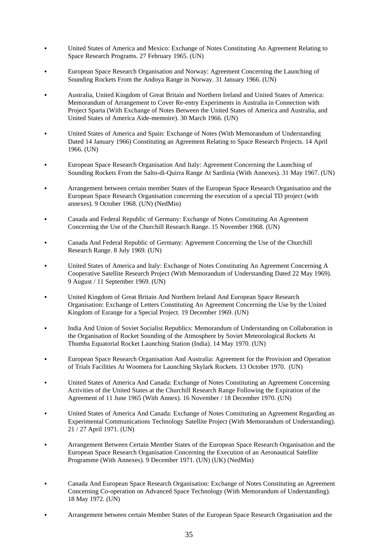- United States of America and Mexico: Exchange of Notes Constituting An Agreement Relating to Space Research Programs. 27 February 1965. (UN)
- European Space Research Organisation and Norway: Agreement Concerning the Launching of Sounding Rockets From the Andoya Range in Norway. 31 January 1966. (UN)
- C Australia, United Kingdom of Great Britain and Northern Ireland and United States of America: Memorandum of Arrangement to Cover Re-entry Experiments in Australia in Connection with Project Sparta (With Exchange of Notes Between the United States of America and Australia, and United States of America Aide-memoire). 30 March 1966. (UN)
- C United States of America and Spain: Exchange of Notes (With Memorandum of Understanding Dated 14 January 1966) Constituting an Agreement Relating to Space Research Projects. 14 April 1966. (UN)
- European Space Research Organisation And Italy: Agreement Concerning the Launching of Sounding Rockets From the Salto-di-Quirra Range At Sardinia (With Annexes). 31 May 1967. (UN)
- Arrangement between certain member States of the European Space Research Organisation and the European Space Research Organisation concerning the execution of a special TD project (with annexes). 9 October 1968. (UN) (NedMin)
- C Canada and Federal Republic of Germany: Exchange of Notes Constituting An Agreement Concerning the Use of the Churchill Research Range. 15 November 1968. (UN)
- C Canada And Federal Republic of Germany: Agreement Concerning the Use of the Churchill Research Range. 8 July 1969. (UN)
- C United States of America and Italy: Exchange of Notes Constituting An Agreement Concerning A Cooperative Satellite Research Project (With Memorandum of Understanding Dated 22 May 1969). 9 August / 11 September 1969. (UN)
- United Kingdom of Great Britain And Northern Ireland And European Space Research Organisation: Exchange of Letters Constituting An Agreement Concerning the Use by the United Kingdom of Esrange for a Special Project. 19 December 1969. (UN)
- India And Union of Soviet Socialist Republics: Memorandum of Understanding on Collaboration in the Organisation of Rocket Sounding of the Atmosphere by Soviet Meteorological Rockets At Thumba Equatorial Rocket Launching Station (India). 14 May 1970. (UN)
- European Space Research Organisation And Australia: Agreement for the Provision and Operation of Trials Facilities At Woomera for Launching Skylark Rockets. 13 October 1970. (UN)
- C United States of America And Canada: Exchange of Notes Constituting an Agreement Concerning Activities of the United States at the Churchill Research Range Following the Expiration of the Agreement of 11 June 1965 (With Annex). 16 November / 18 December 1970. (UN)
- C United States of America And Canada: Exchange of Notes Constituting an Agreement Regarding an Experimental Communications Technology Satellite Project (With Memorandum of Understanding). 21 / 27 April 1971. (UN)
- Arrangement Between Certain Member States of the European Space Research Organisation and the European Space Research Organisation Concerning the Execution of an Aeronautical Satellite Programme (With Annexes). 9 December 1971. (UN) (UK) (NedMin)
- C Canada And European Space Research Organisation: Exchange of Notes Constituting an Agreement Concerning Co-operation on Advanced Space Technology (With Memorandum of Understanding). 18 May 1972. (UN)
- Arrangement between certain Member States of the European Space Research Organisation and the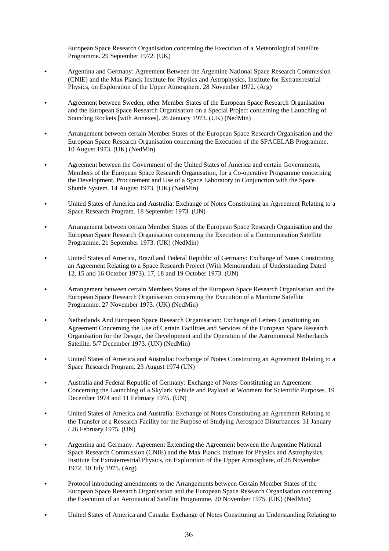European Space Research Organisation concerning the Execution of a Meteorological Satellite Programme. 29 September 1972. (UK)

- C Argentina and Germany: Agreement Between the Argentine National Space Research Commission (CNIE) and the Max Planck Institute for Physics and Astrophysics, Institute for Extraterrestrial Physics, on Exploration of the Upper Atmosphere. 28 November 1972. (Arg)
- Agreement between Sweden, other Member States of the European Space Research Organisation and the European Space Research Organisation on a Special Project concerning the Launching of Sounding Rockets [with Annexes]. 26 January 1973. (UK) (NedMin)
- C Arrangement between certain Member States of the European Space Research Organisation and the European Space Research Organisation concerning the Execution of the SPACELAB Programme. 10 August 1973. (UK) (NedMin)
- Agreement between the Government of the United States of America and certain Governments, Members of the European Space Research Organisation, for a Co-operative Programme concerning the Development, Procurement and Use of a Space Laboratory in Conjunction with the Space Shuttle System. 14 August 1973. (UK) (NedMin)
- C United States of America and Australia: Exchange of Notes Constituting an Agreement Relating to a Space Research Program. 18 September 1973. (UN)
- Arrangement between certain Member States of the European Space Research Organisation and the European Space Research Organisation concerning the Execution of a Communication Satellite Programme. 21 September 1973. (UK) (NedMin)
- C United States of America, Brazil and Federal Republic of Germany: Exchange of Notes Constituting an Agreement Relating to a Space Research Project (With Memorandum of Understanding Dated 12, 15 and 16 October 1973). 17, 18 and 19 October 1973. (UN)
- Arrangement between certain Members States of the European Space Research Organisation and the European Space Research Organisation concerning the Execution of a Maritime Satellite Programme. 27 November 1973. (UK) (NedMin)
- Netherlands And European Space Research Organisation: Exchange of Letters Constituting an Agreement Concerning the Use of Certain Facilities and Services of the European Space Research Organisation for the Design, the Development and the Operation of the Astronomical Netherlands Satellite. 5/7 December 1973. (UN) (NedMin)
- C United States of America and Australia: Exchange of Notes Constituting an Agreement Relating to a Space Research Program. 23 August 1974 (UN)
- C Australia and Federal Republic of Germany: Exchange of Notes Constituting an Agreement Concerning the Launching of a Skylark Vehicle and Payload at Woomera for Scientific Purposes. 19 December 1974 and 11 February 1975. (UN)
- C United States of America and Australia: Exchange of Notes Constituting an Agreement Relating to the Transfer of a Research Facility for the Purpose of Studying Aerospace Disturbances. 31 January / 26 February 1975. (UN)
- Argentina and Germany: Agreement Extending the Agreement between the Argentine National Space Research Commission (CNIE) and the Max Planck Institute for Physics and Astrophysics, Institute for Extraterrestrial Physics, on Exploration of the Upper Atmosphere, of 28 November 1972. 10 July 1975. (Arg)
- Protocol introducing amendments to the Arrangements between Certain Member States of the European Space Research Organisation and the European Space Research Organisation concerning the Execution of an Aeronautical Satellite Programme. 20 November 1975. (UK) (NedMin)
- C United States of America and Canada: Exchange of Notes Constituting an Understanding Relating to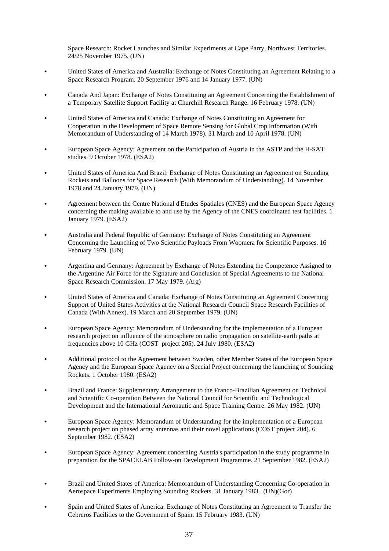Space Research: Rocket Launches and Similar Experiments at Cape Parry, Northwest Territories. 24/25 November 1975. (UN)

- C United States of America and Australia: Exchange of Notes Constituting an Agreement Relating to a Space Research Program. 20 September 1976 and 14 January 1977. (UN)
- C Canada And Japan: Exchange of Notes Constituting an Agreement Concerning the Establishment of a Temporary Satellite Support Facility at Churchill Research Range. 16 February 1978. (UN)
- C United States of America and Canada: Exchange of Notes Constituting an Agreement for Cooperation in the Development of Space Remote Sensing for Global Crop Information (With Memorandum of Understanding of 14 March 1978). 31 March and 10 April 1978. (UN)
- European Space Agency: Agreement on the Participation of Austria in the ASTP and the H-SAT studies. 9 October 1978. (ESA2)
- C United States of America And Brazil: Exchange of Notes Constituting an Agreement on Sounding Rockets and Balloons for Space Research (With Memorandum of Understanding). 14 November 1978 and 24 January 1979. (UN)
- C Agreement between the Centre National d'Etudes Spatiales (CNES) and the European Space Agency concerning the making available to and use by the Agency of the CNES coordinated test facilities. 1 January 1979. (ESA2)
- C Australia and Federal Republic of Germany: Exchange of Notes Constituting an Agreement Concerning the Launching of Two Scientific Payloads From Woomera for Scientific Purposes. 16 February 1979. (UN)
- C Argentina and Germany: Agreement by Exchange of Notes Extending the Competence Assigned to the Argentine Air Force for the Signature and Conclusion of Special Agreements to the National Space Research Commission. 17 May 1979. (Arg)
- United States of America and Canada: Exchange of Notes Constituting an Agreement Concerning Support of United States Activities at the National Research Council Space Research Facilities of Canada (With Annex). 19 March and 20 September 1979. (UN)
- European Space Agency: Memorandum of Understanding for the implementation of a European research project on influence of the atmosphere on radio propagation on satellite-earth paths at frequencies above 10 GHz (COST project 205). 24 July 1980. (ESA2)
- C Additional protocol to the Agreement between Sweden, other Member States of the European Space Agency and the European Space Agency on a Special Project concerning the launching of Sounding Rockets. 1 October 1980. (ESA2)
- C Brazil and France: Supplementary Arrangement to the Franco-Brazilian Agreement on Technical and Scientific Co-operation Between the National Council for Scientific and Technological Development and the International Aeronautic and Space Training Centre. 26 May 1982. (UN)
- European Space Agency: Memorandum of Understanding for the implementation of a European research project on phased array antennas and their novel applications (COST project 204). 6 September 1982. (ESA2)
- European Space Agency: Agreement concerning Austria's participation in the study programme in preparation for the SPACELAB Follow-on Development Programme. 21 September 1982. (ESA2)
- Brazil and United States of America: Memorandum of Understanding Concerning Co-operation in Aerospace Experiments Employing Sounding Rockets. 31 January 1983. (UN)(Gor)
- C Spain and United States of America: Exchange of Notes Constituting an Agreement to Transfer the Cebreros Facilities to the Government of Spain. 15 February 1983. (UN)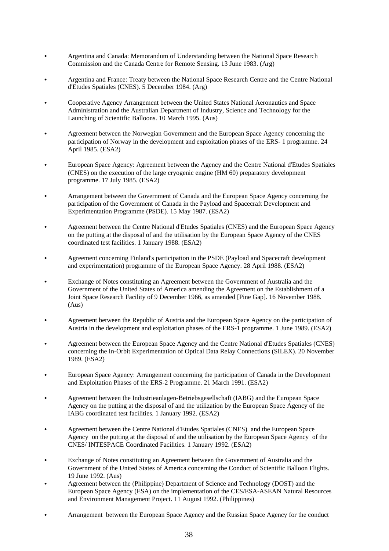- Argentina and Canada: Memorandum of Understanding between the National Space Research Commission and the Canada Centre for Remote Sensing. 13 June 1983. (Arg)
- Argentina and France: Treaty between the National Space Research Centre and the Centre National d'Etudes Spatiales (CNES). 5 December 1984. (Arg)
- Cooperative Agency Arrangement between the United States National Aeronautics and Space Administration and the Australian Department of Industry, Science and Technology for the Launching of Scientific Balloons. 10 March 1995. (Aus)
- Agreement between the Norwegian Government and the European Space Agency concerning the participation of Norway in the development and exploitation phases of the ERS- 1 programme. 24 April 1985. (ESA2)
- C European Space Agency: Agreement between the Agency and the Centre National d'Etudes Spatiales (CNES) on the execution of the large cryogenic engine (HM 60) preparatory development programme. 17 July 1985. (ESA2)
- Arrangement between the Government of Canada and the European Space Agency concerning the participation of the Government of Canada in the Payload and Spacecraft Development and Experimentation Programme (PSDE). 15 May 1987. (ESA2)
- C Agreement between the Centre National d'Etudes Spatiales (CNES) and the European Space Agency on the putting at the disposal of and the utilisation by the European Space Agency of the CNES coordinated test facilities. 1 January 1988. (ESA2)
- Agreement concerning Finland's participation in the PSDE (Payload and Spacecraft development and experimentation) programme of the European Space Agency. 28 April 1988. (ESA2)
- Exchange of Notes constituting an Agreement between the Government of Australia and the Government of the United States of America amending the Agreement on the Establishment of a Joint Space Research Facility of 9 December 1966, as amended [Pine Gap]. 16 November 1988. (Aus)
- Agreement between the Republic of Austria and the European Space Agency on the participation of Austria in the development and exploitation phases of the ERS-1 programme. 1 June 1989. (ESA2)
- Agreement between the European Space Agency and the Centre National d'Etudes Spatiales (CNES) concerning the In-Orbit Experimentation of Optical Data Relay Connections (SILEX). 20 November 1989. (ESA2)
- European Space Agency: Arrangement concerning the participation of Canada in the Development and Exploitation Phases of the ERS-2 Programme. 21 March 1991. (ESA2)
- C Agreement between the Industrieanlagen-Betriebsgesellschaft (IABG) and the European Space Agency on the putting at the disposal of and the utilization by the European Space Agency of the IABG coordinated test facilities. 1 January 1992. (ESA2)
- Agreement between the Centre National d'Etudes Spatiales (CNES) and the European Space Agency on the putting at the disposal of and the utilisation by the European Space Agency of the CNES/ INTESPACE Coordinated Facilities. 1 January 1992. (ESA2)
- Exchange of Notes constituting an Agreement between the Government of Australia and the Government of the United States of America concerning the Conduct of Scientific Balloon Flights. 19 June 1992. (Aus)
- Agreement between the (Philippine) Department of Science and Technology (DOST) and the European Space Agency (ESA) on the implementation of the CES/ESA-ASEAN Natural Resources and Environment Management Project. 11 August 1992. (Philippines)
- Arrangement between the European Space Agency and the Russian Space Agency for the conduct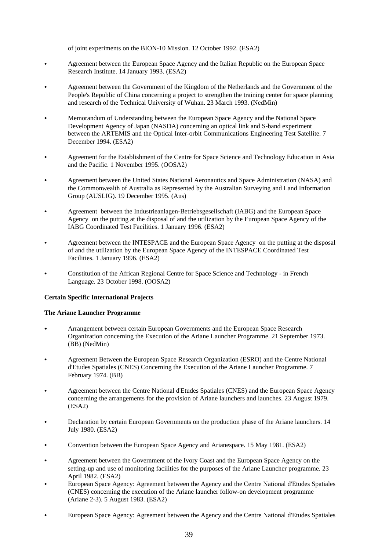of joint experiments on the BION-10 Mission. 12 October 1992. (ESA2)

- Agreement between the European Space Agency and the Italian Republic on the European Space Research Institute. 14 January 1993. (ESA2)
- Agreement between the Government of the Kingdom of the Netherlands and the Government of the People's Republic of China concerning a project to strengthen the training center for space planning and research of the Technical University of Wuhan. 23 March 1993. (NedMin)
- Memorandum of Understanding between the European Space Agency and the National Space Development Agency of Japan (NASDA) concerning an optical link and S-band experiment between the ARTEMIS and the Optical Inter-orbit Communications Engineering Test Satellite. 7 December 1994. (ESA2)
- Agreement for the Establishment of the Centre for Space Science and Technology Education in Asia and the Pacific. 1 November 1995. (OOSA2)
- Agreement between the United States National Aeronautics and Space Administration (NASA) and the Commonwealth of Australia as Represented by the Australian Surveying and Land Information Group (AUSLIG). 19 December 1995. (Aus)
- C Agreement between the Industrieanlagen-Betriebsgesellschaft (IABG) and the European Space Agency on the putting at the disposal of and the utilization by the European Space Agency of the IABG Coordinated Test Facilities. 1 January 1996. (ESA2)
- Agreement between the INTESPACE and the European Space Agency on the putting at the disposal of and the utilization by the European Space Agency of the INTESPACE Coordinated Test Facilities. 1 January 1996. (ESA2)
- C Constitution of the African Regional Centre for Space Science and Technology in French Language. 23 October 1998. (OOSA2)

## **Certain Specific International Projects**

#### **The Ariane Launcher Programme**

- Arrangement between certain European Governments and the European Space Research Organization concerning the Execution of the Ariane Launcher Programme. 21 September 1973. (BB) (NedMin)
- Agreement Between the European Space Research Organization (ESRO) and the Centre National d'Etudes Spatiales (CNES) Concerning the Execution of the Ariane Launcher Programme. 7 February 1974. (BB)
- C Agreement between the Centre National d'Etudes Spatiales (CNES) and the European Space Agency concerning the arrangements for the provision of Ariane launchers and launches. 23 August 1979. (ESA2)
- Declaration by certain European Governments on the production phase of the Ariane launchers. 14 July 1980. (ESA2)
- Convention between the European Space Agency and Arianespace. 15 May 1981. (ESA2)
- Agreement between the Government of the Ivory Coast and the European Space Agency on the setting-up and use of monitoring facilities for the purposes of the Ariane Launcher programme. 23 April 1982. (ESA2)
- C European Space Agency: Agreement between the Agency and the Centre National d'Etudes Spatiales (CNES) concerning the execution of the Ariane launcher follow-on development programme (Ariane 2-3). 5 August 1983. (ESA2)
- C European Space Agency: Agreement between the Agency and the Centre National d'Etudes Spatiales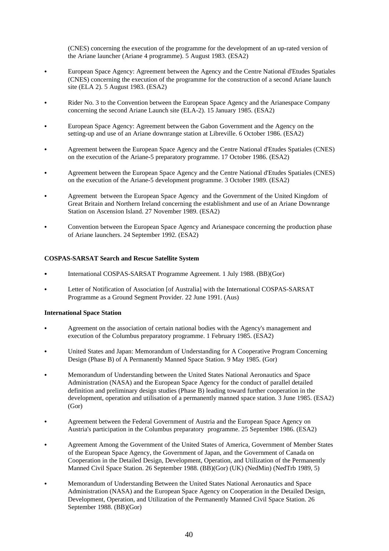(CNES) concerning the execution of the programme for the development of an up-rated version of the Ariane launcher (Ariane 4 programme). 5 August 1983. (ESA2)

- C European Space Agency: Agreement between the Agency and the Centre National d'Etudes Spatiales (CNES) concerning the execution of the programme for the construction of a second Ariane launch site (ELA 2). 5 August 1983. (ESA2)
- Rider No. 3 to the Convention between the European Space Agency and the Arianespace Company concerning the second Ariane Launch site (ELA-2). 15 January 1985. (ESA2)
- European Space Agency: Agreement between the Gabon Government and the Agency on the setting-up and use of an Ariane downrange station at Libreville. 6 October 1986. (ESA2)
- Agreement between the European Space Agency and the Centre National d'Etudes Spatiales (CNES) on the execution of the Ariane-5 preparatory programme. 17 October 1986. (ESA2)
- C Agreement between the European Space Agency and the Centre National d'Etudes Spatiales (CNES) on the execution of the Ariane-5 development programme. 3 October 1989. (ESA2)
- Agreement between the European Space Agency and the Government of the United Kingdom of Great Britain and Northern Ireland concerning the establishment and use of an Ariane Downrange Station on Ascension Island. 27 November 1989. (ESA2)
- Convention between the European Space Agency and Arianespace concerning the production phase of Ariane launchers. 24 September 1992. (ESA2)

## **COSPAS-SARSAT Search and Rescue Satellite System**

- International COSPAS-SARSAT Programme Agreement. 1 July 1988. (BB)(Gor)
- Letter of Notification of Association [of Australia] with the International COSPAS-SARSAT Programme as a Ground Segment Provider. 22 June 1991. (Aus)

## **International Space Station**

- Agreement on the association of certain national bodies with the Agency's management and execution of the Columbus preparatory programme. 1 February 1985. (ESA2)
- C United States and Japan: Memorandum of Understanding for A Cooperative Program Concerning Design (Phase B) of A Permanently Manned Space Station. 9 May 1985. (Gor)
- Memorandum of Understanding between the United States National Aeronautics and Space Administration (NASA) and the European Space Agency for the conduct of parallel detailed definition and preliminary design studies (Phase B) leading toward further cooperation in the development, operation and utilisation of a permanently manned space station. 3 June 1985. (ESA2) (Gor)
- Agreement between the Federal Government of Austria and the European Space Agency on Austria's participation in the Columbus preparatory programme. 25 September 1986. (ESA2)
- Agreement Among the Government of the United States of America, Government of Member States of the European Space Agency, the Government of Japan, and the Government of Canada on Cooperation in the Detailed Design, Development, Operation, and Utilization of the Permanently Manned Civil Space Station. 26 September 1988. (BB)(Gor) (UK) (NedMin) (NedTrb 1989, 5)
- Memorandum of Understanding Between the United States National Aeronautics and Space Administration (NASA) and the European Space Agency on Cooperation in the Detailed Design, Development, Operation, and Utilization of the Permanently Manned Civil Space Station. 26 September 1988. (BB)(Gor)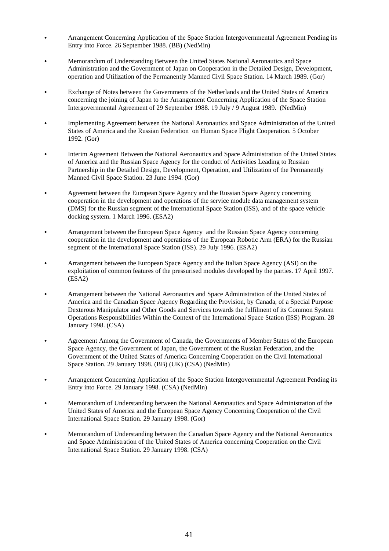- C Arrangement Concerning Application of the Space Station Intergovernmental Agreement Pending its Entry into Force. 26 September 1988. (BB) (NedMin)
- C Memorandum of Understanding Between the United States National Aeronautics and Space Administration and the Government of Japan on Cooperation in the Detailed Design, Development, operation and Utilization of the Permanently Manned Civil Space Station. 14 March 1989. (Gor)
- Exchange of Notes between the Governments of the Netherlands and the United States of America concerning the joining of Japan to the Arrangement Concerning Application of the Space Station Intergovernmental Agreement of 29 September 1988. 19 July / 9 August 1989. (NedMin)
- C Implementing Agreement between the National Aeronautics and Space Administration of the United States of America and the Russian Federation on Human Space Flight Cooperation. 5 October 1992. (Gor)
- C Interim Agreement Between the National Aeronautics and Space Administration of the United States of America and the Russian Space Agency for the conduct of Activities Leading to Russian Partnership in the Detailed Design, Development, Operation, and Utilization of the Permanently Manned Civil Space Station. 23 June 1994. (Gor)
- Agreement between the European Space Agency and the Russian Space Agency concerning cooperation in the development and operations of the service module data management system (DMS) for the Russian segment of the International Space Station (ISS), and of the space vehicle docking system. 1 March 1996. (ESA2)
- Arrangement between the European Space Agency and the Russian Space Agency concerning cooperation in the development and operations of the European Robotic Arm (ERA) for the Russian segment of the International Space Station (ISS). 29 July 1996. (ESA2)
- C Arrangement between the European Space Agency and the Italian Space Agency (ASI) on the exploitation of common features of the pressurised modules developed by the parties. 17 April 1997. (ESA2)
- Arrangement between the National Aeronautics and Space Administration of the United States of America and the Canadian Space Agency Regarding the Provision, by Canada, of a Special Purpose Dexterous Manipulator and Other Goods and Services towards the fulfilment of its Common System Operations Responsibilities Within the Context of the International Space Station (ISS) Program. 28 January 1998. (CSA)
- Agreement Among the Government of Canada, the Governments of Member States of the European Space Agency, the Government of Japan, the Government of the Russian Federation, and the Government of the United States of America Concerning Cooperation on the Civil International Space Station. 29 January 1998. (BB) (UK) (CSA) (NedMin)
- C Arrangement Concerning Application of the Space Station Intergovernmental Agreement Pending its Entry into Force. 29 January 1998. (CSA) (NedMin)
- Memorandum of Understanding between the National Aeronautics and Space Administration of the United States of America and the European Space Agency Concerning Cooperation of the Civil International Space Station. 29 January 1998. (Gor)
- Memorandum of Understanding between the Canadian Space Agency and the National Aeronautics and Space Administration of the United States of America concerning Cooperation on the Civil International Space Station. 29 January 1998. (CSA)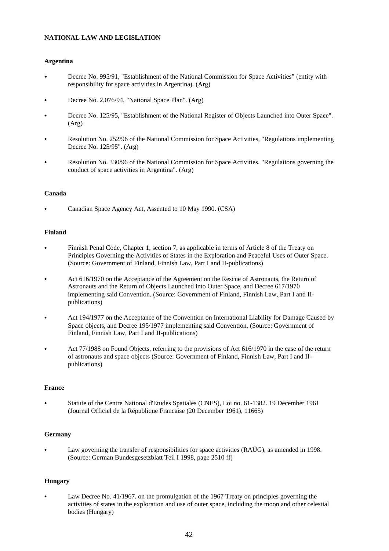# **NATIONAL LAW AND LEGISLATION**

## **Argentina**

- Decree No. 995/91, "Establishment of the National Commission for Space Activities" (entity with responsibility for space activities in Argentina). (Arg)
- Decree No. 2,076/94, "National Space Plan". (Arg)
- Decree No. 125/95, "Establishment of the National Register of Objects Launched into Outer Space". (Arg)
- Resolution No. 252/96 of the National Commission for Space Activities, "Regulations implementing Decree No. 125/95". (Arg)
- Resolution No. 330/96 of the National Commission for Space Activities. "Regulations governing the conduct of space activities in Argentina". (Arg)

# **Canada**

Canadian Space Agency Act, Assented to 10 May 1990. (CSA)

# **Finland**

- Finnish Penal Code, Chapter 1, section 7, as applicable in terms of Article 8 of the Treaty on Principles Governing the Activities of States in the Exploration and Peaceful Uses of Outer Space. (Source: Government of Finland, Finnish Law, Part I and II-publications)
- Act 616/1970 on the Acceptance of the Agreement on the Rescue of Astronauts, the Return of Astronauts and the Return of Objects Launched into Outer Space, and Decree 617/1970 implementing said Convention. (Source: Government of Finland, Finnish Law, Part I and IIpublications)
- Act 194/1977 on the Acceptance of the Convention on International Liability for Damage Caused by Space objects, and Decree 195/1977 implementing said Convention. (Source: Government of Finland, Finnish Law, Part I and II-publications)
- Act 77/1988 on Found Objects, referring to the provisions of Act 616/1970 in the case of the return of astronauts and space objects (Source: Government of Finland, Finnish Law, Part I and IIpublications)

# **France**

C Statute of the Centre National d'Etudes Spatiales (CNES), Loi no. 61-1382. 19 December 1961 (Journal Officiel de la République Francaise (20 December 1961), 11665)

# **Germany**

Law governing the transfer of responsibilities for space activities (RAÜG), as amended in 1998. (Source: German Bundesgesetzblatt Teil I 1998, page 2510 ff)

# **Hungary**

Law Decree No. 41/1967. on the promulgation of the 1967 Treaty on principles governing the activities of states in the exploration and use of outer space, including the moon and other celestial bodies (Hungary)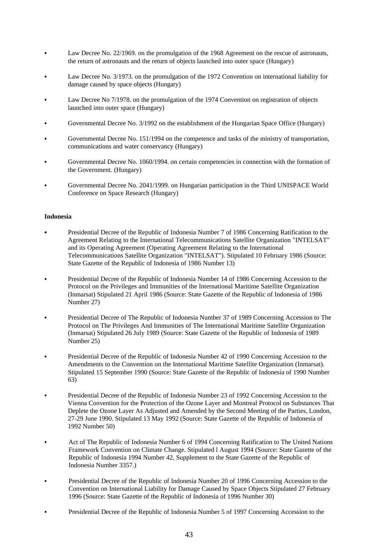- Law Decree No. 22/1969. on the promulgation of the 1968 Agreement on the rescue of astronauts, the return of astronauts and the return of objects launched into outer space (Hungary)
- Law Decree No. 3/1973. on the promulgation of the 1972 Convention on international liability for damage caused by space objects (Hungary)
- Law Decree No 7/1978. on the promulgation of the 1974 Convention on registration of objects launched into outer space (Hungary)
- Governmental Decree No. 3/1992 on the establishment of the Hungarian Space Office (Hungary)
- Governmental Decree No. 151/1994 on the competence and tasks of the ministry of transportation, communications and water conservancy (Hungary)
- C Governmental Decree No. 1060/1994. on certain competencies in connection with the formation of the Government. (Hungary)
- C Governmental Decree No. 2041/1999. on Hungarian participation in the Third UNISPACE World Conference on Space Research (Hungary)

#### **Indonesia**

- Presidential Decree of the Republic of Indonesia Number 7 of 1986 Concerning Ratification to the Agreement Relating to the International Telecommunications Satellite Organization "INTELSAT" and its Operating Agreement (Operating Agreement Relating to the International Telecommunications Satellite Organization "INTELSAT"). Stipulated 10 February 1986 (Source: State Gazette of the Republic of Indonesia of 1986 Number 13)
- Presidential Decree of the Republic of Indonesia Number 14 of 1986 Concerning Accession to the Protocol on the Privileges and Immunities of the International Maritime Satellite Organization (Inmarsat) Stipulated 21 April 1986 (Source: State Gazette of the Republic of Indonesia of 1986 Number 27)
- C Presidential Decree of The Republic of Indonesia Number 37 of 1989 Concerning Accession to The Protocol on The Privileges And Immunities of The International Maritime Satellite Organization (Inmarsat) Stipulated 26 July 1989 (Source: State Gazette of the Republic of Indonesia of 1989 Number 25)
- Presidential Decree of the Republic of Indonesia Number 42 of 1990 Concerning Accession to the Amendments to the Convention on the International Maritime Satellite Organization (Inmarsat). Stipulated 15 September 1990 (Source: State Gazette of the Republic of Indonesia of 1990 Number 63)
- Presidential Decree of the Republic of Indonesia Number 23 of 1992 Concerning Accession to the Vienna Convention for the Protection of the Ozone Layer and Montreal Protocol on Substances That Deplete the Ozone Layer As Adjusted and Amended by the Second Meeting of the Parties, London, 27-29 June 1990. Stipulated 13 May 1992 (Source: State Gazette of the Republic of Indonesia of 1992 Number 50)
- Act of The Republic of Indonesia Number 6 of 1994 Concerning Ratification to The United Nations Framework Convention on Climate Change. Stipulated l August 1994 (Source: State Gazette of the Republic of Indonesia 1994 Number 42, Supplement to the State Gazette of the Republic of Indonesia Number 3357.)
- Presidential Decree of the Republic of Indonesia Number 20 of 1996 Concerning Accession to the Convention on International Liability for Damage Caused by Space Objects Stipulated 27 February 1996 (Source: State Gazette of the Republic of Indonesia of 1996 Number 30)
- Presidential Decree of the Republic of Indonesia Number 5 of 1997 Concerning Accession to the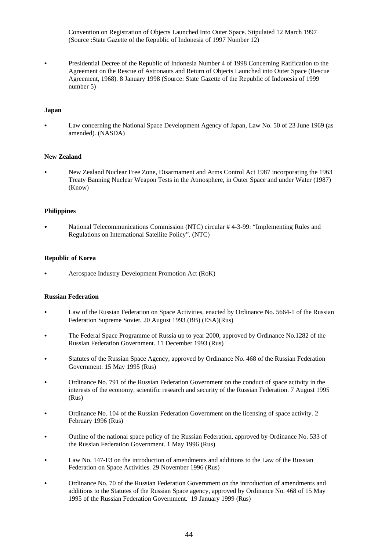Convention on Registration of Objects Launched Into Outer Space. Stipulated 12 March 1997 (Source :State Gazette of the Republic of Indonesia of 1997 Number 12)

• Presidential Decree of the Republic of Indonesia Number 4 of 1998 Concerning Ratification to the Agreement on the Rescue of Astronauts and Return of Objects Launched into Outer Space (Rescue Agreement, 1968). 8 January 1998 (Source: State Gazette of the Republic of Indonesia of 1999 number 5)

#### **Japan**

Law concerning the National Space Development Agency of Japan, Law No. 50 of 23 June 1969 (as amended). (NASDA)

#### **New Zealand**

C New Zealand Nuclear Free Zone, Disarmament and Arms Control Act 1987 incorporating the 1963 Treaty Banning Nuclear Weapon Tests in the Atmosphere, in Outer Space and under Water (1987) (Know)

#### **Philippines**

National Telecommunications Commission (NTC) circular # 4-3-99: "Implementing Rules and Regulations on International Satellite Policy". (NTC)

#### **Republic of Korea**

Aerospace Industry Development Promotion Act (RoK)

## **Russian Federation**

- Law of the Russian Federation on Space Activities, enacted by Ordinance No. 5664-1 of the Russian Federation Supreme Soviet. 20 August 1993 (BB) (ESA)(Rus)
- The Federal Space Programme of Russia up to year 2000, approved by Ordinance No.1282 of the Russian Federation Government. 11 December 1993 (Rus)
- Statutes of the Russian Space Agency, approved by Ordinance No. 468 of the Russian Federation Government. 15 May 1995 (Rus)
- C Ordinance No. 791 of the Russian Federation Government on the conduct of space activity in the interests of the economy, scientific research and security of the Russian Federation. 7 August 1995 (Rus)
- C Ordinance No. 104 of the Russian Federation Government on the licensing of space activity. 2 February 1996 (Rus)
- C Outline of the national space policy of the Russian Federation, approved by Ordinance No. 533 of the Russian Federation Government. 1 May 1996 (Rus)
- Law No. 147-F3 on the introduction of amendments and additions to the Law of the Russian Federation on Space Activities. 29 November 1996 (Rus)
- C Ordinance No. 70 of the Russian Federation Government on the introduction of amendments and additions to the Statutes of the Russian Space agency, approved by Ordinance No. 468 of 15 May 1995 of the Russian Federation Government. 19 January 1999 (Rus)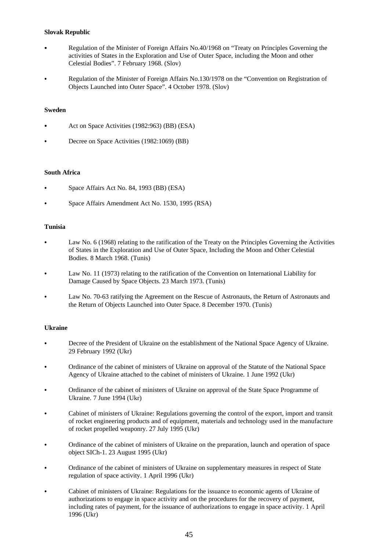# **Slovak Republic**

- Regulation of the Minister of Foreign Affairs No.40/1968 on "Treaty on Principles Governing the activities of States in the Exploration and Use of Outer Space, including the Moon and other Celestial Bodies". 7 February 1968. (Slov)
- C Regulation of the Minister of Foreign Affairs No.130/1978 on the "Convention on Registration of Objects Launched into Outer Space". 4 October 1978. (Slov)

## **Sweden**

- Act on Space Activities (1982:963) (BB) (ESA)
- Decree on Space Activities (1982:1069) (BB)

## **South Africa**

- Space Affairs Act No. 84, 1993 (BB) (ESA)
- Space Affairs Amendment Act No. 1530, 1995 (RSA)

## **Tunisia**

- Law No. 6 (1968) relating to the ratification of the Treaty on the Principles Governing the Activities of States in the Exploration and Use of Outer Space, Including the Moon and Other Celestial Bodies. 8 March 1968. (Tunis)
- Law No. 11 (1973) relating to the ratification of the Convention on International Liability for Damage Caused by Space Objects. 23 March 1973. (Tunis)
- Law No. 70-63 ratifying the Agreement on the Rescue of Astronauts, the Return of Astronauts and the Return of Objects Launched into Outer Space. 8 December 1970. (Tunis)

# **Ukraine**

- Decree of the President of Ukraine on the establishment of the National Space Agency of Ukraine. 29 February 1992 (Ukr)
- C Ordinance of the cabinet of ministers of Ukraine on approval of the Statute of the National Space Agency of Ukraine attached to the cabinet of ministers of Ukraine. 1 June 1992 (Ukr)
- Ordinance of the cabinet of ministers of Ukraine on approval of the State Space Programme of Ukraine. 7 June 1994 (Ukr)
- C Cabinet of ministers of Ukraine: Regulations governing the control of the export, import and transit of rocket engineering products and of equipment, materials and technology used in the manufacture of rocket propelled weaponry. 27 July 1995 (Ukr)
- C Ordinance of the cabinet of ministers of Ukraine on the preparation, launch and operation of space object SICh-1. 23 August 1995 (Ukr)
- C Ordinance of the cabinet of ministers of Ukraine on supplementary measures in respect of State regulation of space activity. 1 April 1996 (Ukr)
- C Cabinet of ministers of Ukraine: Regulations for the issuance to economic agents of Ukraine of authorizations to engage in space activity and on the procedures for the recovery of payment, including rates of payment, for the issuance of authorizations to engage in space activity. 1 April 1996 (Ukr)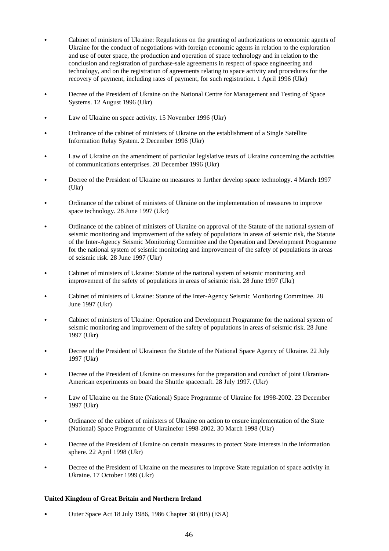- C Cabinet of ministers of Ukraine: Regulations on the granting of authorizations to economic agents of Ukraine for the conduct of negotiations with foreign economic agents in relation to the exploration and use of outer space, the production and operation of space technology and in relation to the conclusion and registration of purchase-sale agreements in respect of space engineering and technology, and on the registration of agreements relating to space activity and procedures for the recovery of payment, including rates of payment, for such registration. 1 April 1996 (Ukr)
- Decree of the President of Ukraine on the National Centre for Management and Testing of Space Systems. 12 August 1996 (Ukr)
- Law of Ukraine on space activity. 15 November 1996 (Ukr)
- C Ordinance of the cabinet of ministers of Ukraine on the establishment of a Single Satellite Information Relay System. 2 December 1996 (Ukr)
- Law of Ukraine on the amendment of particular legislative texts of Ukraine concerning the activities of communications enterprises. 20 December 1996 (Ukr)
- Decree of the President of Ukraine on measures to further develop space technology. 4 March 1997  $(Ukr)$
- C Ordinance of the cabinet of ministers of Ukraine on the implementation of measures to improve space technology. 28 June 1997 (Ukr)
- C Ordinance of the cabinet of ministers of Ukraine on approval of the Statute of the national system of seismic monitoring and improvement of the safety of populations in areas of seismic risk, the Statute of the Inter-Agency Seismic Monitoring Committee and the Operation and Development Programme for the national system of seismic monitoring and improvement of the safety of populations in areas of seismic risk. 28 June 1997 (Ukr)
- C Cabinet of ministers of Ukraine: Statute of the national system of seismic monitoring and improvement of the safety of populations in areas of seismic risk. 28 June 1997 (Ukr)
- C Cabinet of ministers of Ukraine: Statute of the Inter-Agency Seismic Monitoring Committee. 28 June 1997 (Ukr)
- C Cabinet of ministers of Ukraine: Operation and Development Programme for the national system of seismic monitoring and improvement of the safety of populations in areas of seismic risk. 28 June 1997 (Ukr)
- Decree of the President of Ukraineon the Statute of the National Space Agency of Ukraine. 22 July 1997 (Ukr)
- Decree of the President of Ukraine on measures for the preparation and conduct of joint Ukranian-American experiments on board the Shuttle spacecraft. 28 July 1997. (Ukr)
- Law of Ukraine on the State (National) Space Programme of Ukraine for 1998-2002. 23 December 1997 (Ukr)
- C Ordinance of the cabinet of ministers of Ukraine on action to ensure implementation of the State (National) Space Programme of Ukrainefor 1998-2002. 30 March 1998 (Ukr)
- Decree of the President of Ukraine on certain measures to protect State interests in the information sphere. 22 April 1998 (Ukr)
- Decree of the President of Ukraine on the measures to improve State regulation of space activity in Ukraine. 17 October 1999 (Ukr)

## **United Kingdom of Great Britain and Northern Ireland**

Outer Space Act 18 July 1986, 1986 Chapter 38 (BB) (ESA)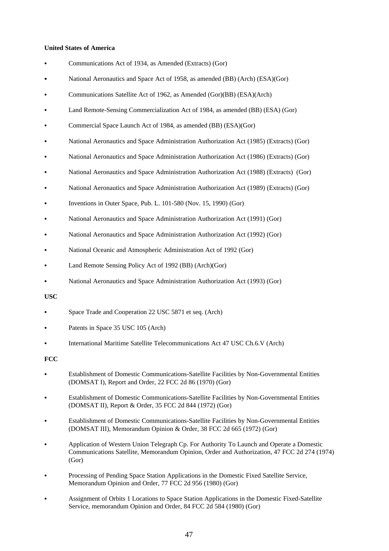### **United States of America**

- Communications Act of 1934, as Amended (Extracts) (Gor)
- National Aeronautics and Space Act of 1958, as amended (BB) (Arch) (ESA)(Gor)
- Communications Satellite Act of 1962, as Amended (Gor)(BB) (ESA)(Arch)
- Land Remote-Sensing Commercialization Act of 1984, as amended (BB) (ESA) (Gor)
- Commercial Space Launch Act of 1984, as amended (BB) (ESA)(Gor)
- C National Aeronautics and Space Administration Authorization Act (1985) (Extracts) (Gor)
- National Aeronautics and Space Administration Authorization Act (1986) (Extracts) (Gor)
- C National Aeronautics and Space Administration Authorization Act (1988) (Extracts) (Gor)
- National Aeronautics and Space Administration Authorization Act (1989) (Extracts) (Gor)
- Inventions in Outer Space, Pub. L. 101-580 (Nov. 15, 1990) (Gor)
- National Aeronautics and Space Administration Authorization Act (1991) (Gor)
- National Aeronautics and Space Administration Authorization Act (1992) (Gor)
- National Oceanic and Atmospheric Administration Act of 1992 (Gor)
- Land Remote Sensing Policy Act of 1992 (BB) (Arch)(Gor)
- National Aeronautics and Space Administration Authorization Act (1993) (Gor)

#### **USC**

- Space Trade and Cooperation 22 USC 5871 et seq. (Arch)
- Patents in Space 35 USC 105 (Arch)
- International Maritime Satellite Telecommunications Act 47 USC Ch.6.V (Arch)

#### **FCC**

- C Establishment of Domestic Communications-Satellite Facilities by Non-Governmental Entities (DOMSAT I), Report and Order, 22 FCC 2d 86 (1970) (Gor)
- C Establishment of Domestic Communications-Satellite Facilities by Non-Governmental Entities (DOMSAT II), Report & Order, 35 FCC 2d 844 (1972) (Gor)
- C Establishment of Domestic Communications-Satellite Facilities by Non-Governmental Entities (DOMSAT III), Memorandum Opinion & Order, 38 FCC 2d 665 (1972) (Gor)
- Application of Western Union Telegraph Cp. For Authority To Launch and Operate a Domestic Communications Satellite, Memorandum Opinion, Order and Authorization, 47 FCC 2d 274 (1974) (Gor)
- Processing of Pending Space Station Applications in the Domestic Fixed Satellite Service, Memorandum Opinion and Order, 77 FCC 2d 956 (1980) (Gor)
- C Assignment of Orbits 1 Locations to Space Station Applications in the Domestic Fixed-Satellite Service, memorandum Opinion and Order, 84 FCC 2d 584 (1980) (Gor)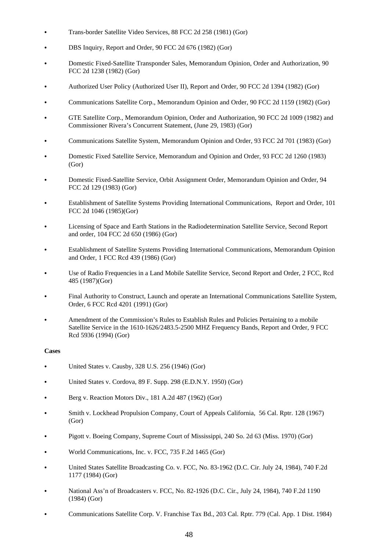- C Trans-border Satellite Video Services, 88 FCC 2d 258 (1981) (Gor)
- DBS Inquiry, Report and Order, 90 FCC 2d 676 (1982) (Gor)
- C Domestic Fixed-Satellite Transponder Sales, Memorandum Opinion, Order and Authorization, 90 FCC 2d 1238 (1982) (Gor)
- C Authorized User Policy (Authorized User II), Report and Order, 90 FCC 2d 1394 (1982) (Gor)
- C Communications Satellite Corp., Memorandum Opinion and Order, 90 FCC 2d 1159 (1982) (Gor)
- C GTE Satellite Corp., Memorandum Opinion, Order and Authorization, 90 FCC 2d 1009 (1982) and Commissioner Rivera's Concurrent Statement, (June 29, 1983) (Gor)
- C Communications Satellite System, Memorandum Opinion and Order, 93 FCC 2d 701 (1983) (Gor)
- C Domestic Fixed Satellite Service, Memorandum and Opinion and Order, 93 FCC 2d 1260 (1983) (Gor)
- C Domestic Fixed-Satellite Service, Orbit Assignment Order, Memorandum Opinion and Order, 94 FCC 2d 129 (1983) (Gor)
- C Establishment of Satellite Systems Providing International Communications, Report and Order, 101 FCC 2d 1046 (1985)(Gor)
- Licensing of Space and Earth Stations in the Radiodetermination Satellite Service, Second Report and order, 104 FCC 2d 650 (1986) (Gor)
- C Establishment of Satellite Systems Providing International Communications, Memorandum Opinion and Order, 1 FCC Rcd 439 (1986) (Gor)
- C Use of Radio Frequencies in a Land Mobile Satellite Service, Second Report and Order, 2 FCC, Rcd 485 (1987)(Gor)
- Final Authority to Construct, Launch and operate an International Communications Satellite System, Order, 6 FCC Rcd 4201 (1991) (Gor)
- Amendment of the Commission's Rules to Establish Rules and Policies Pertaining to a mobile Satellite Service in the 1610-1626/2483.5-2500 MHZ Frequency Bands, Report and Order, 9 FCC Rcd 5936 (1994) (Gor)

# **Cases**

- United States v. Causby, 328 U.S. 256 (1946) (Gor)
- C United States v. Cordova, 89 F. Supp. 298 (E.D.N.Y. 1950) (Gor)
- Berg v. Reaction Motors Div., 181 A.2d 487 (1962) (Gor)
- C Smith v. Lockhead Propulsion Company, Court of Appeals California, 56 Cal. Rptr. 128 (1967) (Gor)
- Pigott v. Boeing Company, Supreme Court of Mississippi, 240 So. 2d 63 (Miss. 1970) (Gor)
- World Communications, Inc. v. FCC, 735 F.2d 1465 (Gor)
- C United States Satellite Broadcasting Co. v. FCC, No. 83-1962 (D.C. Cir. July 24, 1984), 740 F.2d 1177 (1984) (Gor)
- C National Ass'n of Broadcasters v. FCC, No. 82-1926 (D.C. Cir., July 24, 1984), 740 F.2d 1190 (1984) (Gor)
- Communications Satellite Corp. V. Franchise Tax Bd., 203 Cal. Rptr. 779 (Cal. App. 1 Dist. 1984)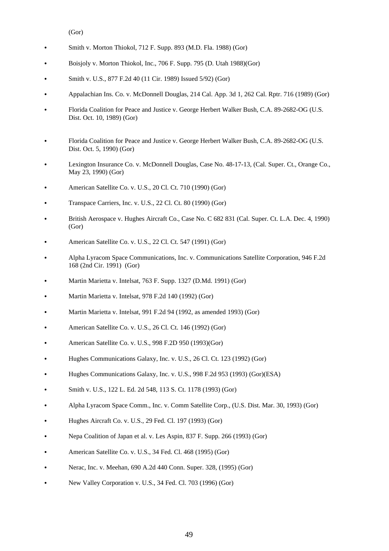(Gor)

- Smith v. Morton Thiokol, 712 F. Supp. 893 (M.D. Fla. 1988) (Gor)
- C Boisjoly v. Morton Thiokol, Inc., 706 F. Supp. 795 (D. Utah 1988)(Gor)
- C Smith v. U.S., 877 F.2d 40 (11 Cir. 1989) Issued 5/92) (Gor)
- Appalachian Ins. Co. v. McDonnell Douglas, 214 Cal. App. 3d 1, 262 Cal. Rptr. 716 (1989) (Gor)
- Florida Coalition for Peace and Justice v. George Herbert Walker Bush, C.A. 89-2682-OG (U.S. Dist. Oct. 10, 1989) (Gor)
- Florida Coalition for Peace and Justice v. George Herbert Walker Bush, C.A. 89-2682-OG (U.S. Dist. Oct. 5, 1990) (Gor)
- Lexington Insurance Co. v. McDonnell Douglas, Case No. 48-17-13, (Cal. Super. Ct., Orange Co., May 23, 1990) (Gor)
- American Satellite Co. v. U.S., 20 Cl. Ct. 710 (1990) (Gor)
- Transpace Carriers, Inc. v. U.S., 22 Cl. Ct. 80 (1990) (Gor)
- C British Aerospace v. Hughes Aircraft Co., Case No. C 682 831 (Cal. Super. Ct. L.A. Dec. 4, 1990) (Gor)
- American Satellite Co. v. U.S., 22 Cl. Ct. 547 (1991) (Gor)
- C Alpha Lyracom Space Communications, Inc. v. Communications Satellite Corporation, 946 F.2d 168 (2nd Cir. 1991) (Gor)
- C Martin Marietta v. Intelsat, 763 F. Supp. 1327 (D.Md. 1991) (Gor)
- Martin Marietta v. Intelsat, 978 F.2d 140 (1992) (Gor)
- C Martin Marietta v. Intelsat, 991 F.2d 94 (1992, as amended 1993) (Gor)
- American Satellite Co. v. U.S., 26 Cl. Ct. 146 (1992) (Gor)
- American Satellite Co. v. U.S., 998 F.2D 950 (1993)(Gor)
- Hughes Communications Galaxy, Inc. v. U.S., 26 Cl. Ct. 123 (1992) (Gor)
- Hughes Communications Galaxy, Inc. v. U.S., 998 F.2d 953 (1993) (Gor)(ESA)
- C Smith v. U.S., 122 L. Ed. 2d 548, 113 S. Ct. 1178 (1993) (Gor)
- C Alpha Lyracom Space Comm., Inc. v. Comm Satellite Corp., (U.S. Dist. Mar. 30, 1993) (Gor)
- Hughes Aircraft Co. v. U.S., 29 Fed. Cl. 197 (1993) (Gor)
- C Nepa Coalition of Japan et al. v. Les Aspin, 837 F. Supp. 266 (1993) (Gor)
- American Satellite Co. v. U.S., 34 Fed. Cl. 468 (1995) (Gor)
- Nerac, Inc. v. Meehan, 690 A.2d 440 Conn. Super. 328, (1995) (Gor)
- New Valley Corporation v. U.S., 34 Fed. Cl. 703 (1996) (Gor)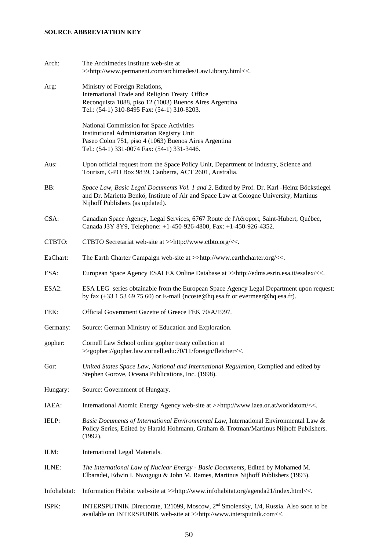# **SOURCE ABBREVIATION KEY**

| Arch:        | The Archimedes Institute web-site at<br>>>http://www.permanent.com/archimedes/LawLibrary.html<<.                                                                                                                         |
|--------------|--------------------------------------------------------------------------------------------------------------------------------------------------------------------------------------------------------------------------|
| Arg:         | Ministry of Foreign Relations,<br>International Trade and Religion Treaty Office<br>Reconquista 1088, piso 12 (1003) Buenos Aires Argentina<br>Tel.: (54-1) 310-8495 Fax: (54-1) 310-8203.                               |
|              | National Commission for Space Activities<br><b>Institutional Administration Registry Unit</b><br>Paseo Colon 751, piso 4 (1063) Buenos Aires Argentina<br>Tel.: (54-1) 331-0074 Fax: (54-1) 331-3446.                    |
| Aus:         | Upon official request from the Space Policy Unit, Department of Industry, Science and<br>Tourism, GPO Box 9839, Canberra, ACT 2601, Australia.                                                                           |
| BB:          | Space Law, Basic Legal Documents Vol. 1 and 2, Edited by Prof. Dr. Karl -Heinz Böckstiegel<br>and Dr. Marietta Benkö, Institute of Air and Space Law at Cologne University, Martinus<br>Nijhoff Publishers (as updated). |
| CSA:         | Canadian Space Agency, Legal Services, 6767 Route de l'Aéroport, Saint-Hubert, Québec,<br>Canada J3Y 8Y9, Telephone: +1-450-926-4800, Fax: +1-450-926-4352.                                                              |
| CTBTO:       | CTBTO Secretariat web-site at >>http://www.ctbto.org/<<.                                                                                                                                                                 |
| EaChart:     | The Earth Charter Campaign web-site at >>http://www.earthcharter.org/<<.                                                                                                                                                 |
| ESA:         | European Space Agency ESALEX Online Database at >>http://edms.esrin.esa.it/esalex/<<.                                                                                                                                    |
| ESA2:        | ESA LEG series obtainable from the European Space Agency Legal Department upon request:<br>by fax (+33 1 53 69 75 60) or E-mail (ncoste@hq.esa.fr or evermeer@hq.esa.fr).                                                |
| FEK:         | Official Government Gazette of Greece FEK 70/A/1997.                                                                                                                                                                     |
| Germany:     | Source: German Ministry of Education and Exploration.                                                                                                                                                                    |
| gopher:      | Cornell Law School online gopher treaty collection at<br>>>gopher://gopher.law.cornell.edu:70/11/foreign/fletcher<<.                                                                                                     |
| Gor:         | United States Space Law, National and International Regulation, Complied and edited by<br>Stephen Gorove, Oceana Publications, Inc. (1998).                                                                              |
| Hungary:     | Source: Government of Hungary.                                                                                                                                                                                           |
| IAEA:        | International Atomic Energy Agency web-site at >>http://www.iaea.or.at/worldatom/<<.                                                                                                                                     |
| IELP:        | Basic Documents of International Environmental Law, International Environmental Law &<br>Policy Series, Edited by Harald Hohmann, Graham & Trotman/Martinus Nijhoff Publishers.<br>(1992).                               |
| ILM:         | International Legal Materials.                                                                                                                                                                                           |
| ILNE:        | The International Law of Nuclear Energy - Basic Documents, Edited by Mohamed M.<br>Elbaradei, Edwin I. Nwogugu & John M. Rames, Martinus Nijhoff Publishers (1993).                                                      |
| Infohabitat: | Information Habitat web-site at >>http://www.infohabitat.org/agenda21/index.html<<.                                                                                                                                      |
| ISPK:        | INTERSPUTNIK Directorate, 121099, Moscow, 2 <sup>nd</sup> Smolensky, 1/4, Russia. Also soon to be<br>available on INTERSPUNIK web-site at >>http://www.intersputnik.com<<.                                               |